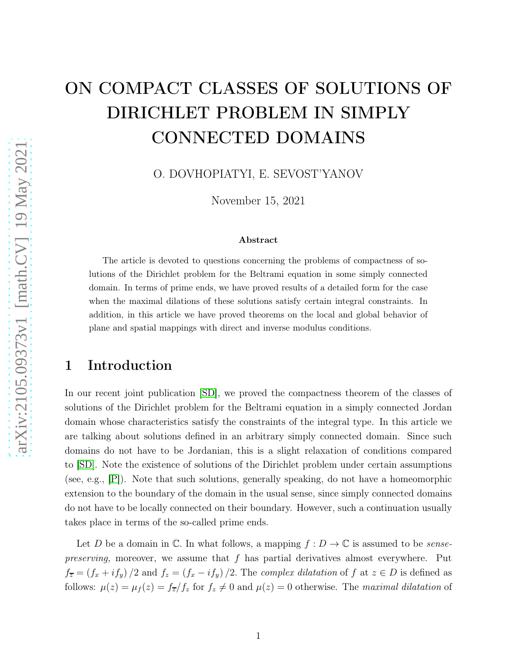# ON COMPACT CLASSES OF SOLUTIONS OF DIRICHLET PROBLEM IN SIMPLY CONNECTED DOMAINS

O. DOVHOPIATYI, E. SEVOST'YANOV

November 15, 2021

#### Abstract

The article is devoted to questions concerning the problems of compactness of solutions of the Dirichlet problem for the Beltrami equation in some simply connected domain. In terms of prime ends, we have proved results of a detailed form for the case when the maximal dilations of these solutions satisfy certain integral constraints. In addition, in this article we have proved theorems on the local and global behavior of plane and spatial mappings with direct and inverse modulus conditions.

### 1 Introduction

In our recent joint publication [\[SD\]](#page-30-0), we proved the compactness theorem of the classes of solutions of the Dirichlet problem for the Beltrami equation in a simply connected Jordan domain whose characteristics satisfy the constraints of the integral type. In this article we are talking about solutions defined in an arbitrary simply connected domain. Since such domains do not have to be Jordanian, this is a slight relaxation of conditions compared to [\[SD\]](#page-30-0). Note the existence of solutions of the Dirichlet problem under certain assumptions (see, e.g., [\[P\]](#page-29-0)). Note that such solutions, generally speaking, do not have a homeomorphic extension to the boundary of the domain in the usual sense, since simply connected domains do not have to be locally connected on their boundary. However, such a continuation usually takes place in terms of the so-called prime ends.

Let D be a domain in  $\mathbb C$ . In what follows, a mapping  $f: D \to \mathbb C$  is assumed to be *sensepreserving*, moreover, we assume that  $f$  has partial derivatives almost everywhere. Put  $f_{\overline{z}} = (f_x + if_y)/2$  and  $f_z = (f_x - if_y)/2$ . The *complex dilatation* of f at  $z \in D$  is defined as follows:  $\mu(z) = \mu_f(z) = f_{\overline{z}}/f_z$  for  $f_z \neq 0$  and  $\mu(z) = 0$  otherwise. The maximal dilatation of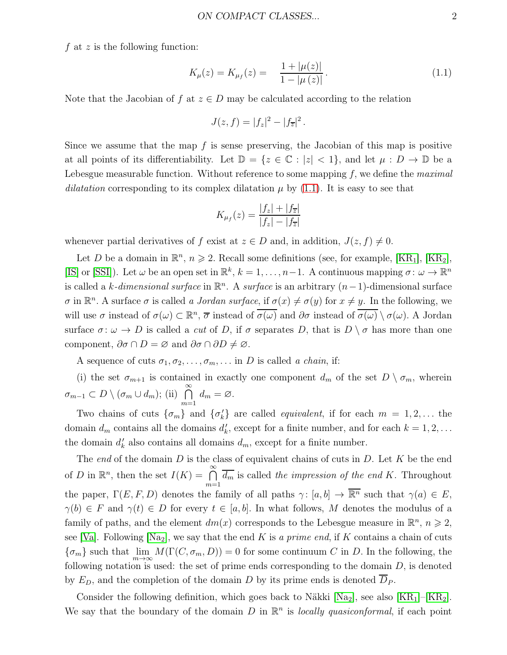f at z is the following function:

<span id="page-1-0"></span>
$$
K_{\mu}(z) = K_{\mu_f}(z) = \frac{1 + |\mu(z)|}{1 - |\mu(z)|}.
$$
 (1.1)

Note that the Jacobian of f at  $z \in D$  may be calculated according to the relation

$$
J(z, f) = |f_z|^2 - |f_{\overline{z}}|^2.
$$

Since we assume that the map  $f$  is sense preserving, the Jacobian of this map is positive at all points of its differentiability. Let  $\mathbb{D} = \{z \in \mathbb{C} : |z| < 1\}$ , and let  $\mu : D \to \mathbb{D}$  be a Lebesgue measurable function. Without reference to some mapping  $f$ , we define the *maximal* dilatation corresponding to its complex dilatation  $\mu$  by [\(1.1\)](#page-1-0). It is easy to see that

$$
K_{\mu_f}(z) = \frac{|f_z| + |f_{\overline{z}}|}{|f_z| - |f_{\overline{z}}|}
$$

whenever partial derivatives of f exist at  $z \in D$  and, in addition,  $J(z, f) \neq 0$ .

Let D be a domain in  $\mathbb{R}^n$ ,  $n \geqslant 2$ . Recall some definitions (see, for example, [\[KR](#page-28-1)<sub>1</sub>], [KR<sub>2</sub>], [\[IS\]](#page-28-2) or [\[SSI\]](#page-30-1)). Let  $\omega$  be an open set in  $\mathbb{R}^k$ ,  $k = 1, \ldots, n-1$ . A continuous mapping  $\sigma: \omega \to \mathbb{R}^n$ is called a k-dimensional surface in  $\mathbb{R}^n$ . A surface is an arbitrary  $(n-1)$ -dimensional surface  $\sigma$  in  $\mathbb{R}^n$ . A surface  $\sigma$  is called a *Jordan surface*, if  $\sigma(x) \neq \sigma(y)$  for  $x \neq y$ . In the following, we will use  $\sigma$  instead of  $\sigma(\omega) \subset \mathbb{R}^n$ ,  $\overline{\sigma}$  instead of  $\overline{\sigma(\omega)}$  and  $\partial \sigma$  instead of  $\overline{\sigma(\omega)} \setminus \sigma(\omega)$ . A Jordan surface  $\sigma: \omega \to D$  is called a *cut* of D, if  $\sigma$  separates D, that is  $D \setminus \sigma$  has more than one component,  $\partial \sigma \cap D = \varnothing$  and  $\partial \sigma \cap \partial D \neq \varnothing$ .

A sequence of cuts  $\sigma_1, \sigma_2, \ldots, \sigma_m, \ldots$  in D is called a chain, if:

(i) the set  $\sigma_{m+1}$  is contained in exactly one component  $d_m$  of the set  $D \setminus \sigma_m$ , wherein  $\sigma_{m-1} \subset D \setminus (\sigma_m \cup d_m);$  (ii)  $\bigcap_{m=1}^{\infty}$  $d_m = \varnothing$ .

Two chains of cuts  $\{\sigma_m\}$  and  $\{\sigma'_k\}$  are called *equivalent*, if for each  $m = 1, 2, \ldots$  the domain  $d_m$  contains all the domains  $d'_k$ , except for a finite number, and for each  $k = 1, 2, \ldots$ the domain  $d'_{k}$  also contains all domains  $d_{m}$ , except for a finite number.

The end of the domain  $D$  is the class of equivalent chains of cuts in  $D$ . Let  $K$  be the end of D in  $\mathbb{R}^n$ , then the set  $I(K) = \bigcap_{n=1}^{\infty}$  $m=1$  $d_m$  is called the impression of the end K. Throughout the paper,  $\Gamma(E, F, D)$  denotes the family of all paths  $\gamma: [a, b] \to \overline{\mathbb{R}^n}$  such that  $\gamma(a) \in E$ ,  $\gamma(b) \in F$  and  $\gamma(t) \in D$  for every  $t \in [a, b]$ . In what follows, M denotes the modulus of a family of paths, and the element  $dm(x)$  corresponds to the Lebesgue measure in  $\mathbb{R}^n$ ,  $n \geq 2$ , see [\[Va\]](#page-30-2). Following [\[Na](#page-29-1)<sub>2</sub>], we say that the end K is a prime end, if K contains a chain of cuts  ${\{\sigma_m\}}$  such that  $\lim_{m\to\infty} M(\Gamma(C, \sigma_m, D)) = 0$  for some continuum C in D. In the following, the following notation is used: the set of prime ends corresponding to the domain  $D$ , is denoted by  $E_D$ , and the completion of the domain D by its prime ends is denoted  $D_P$ .

Consider the following definition, which goes back to Näkki [\[Na](#page-29-1)<sub>2</sub>], see also [\[KR](#page-28-0)<sub>1</sub>]–[\[KR](#page-28-1)<sub>2</sub>]. We say that the boundary of the domain D in  $\mathbb{R}^n$  is locally quasiconformal, if each point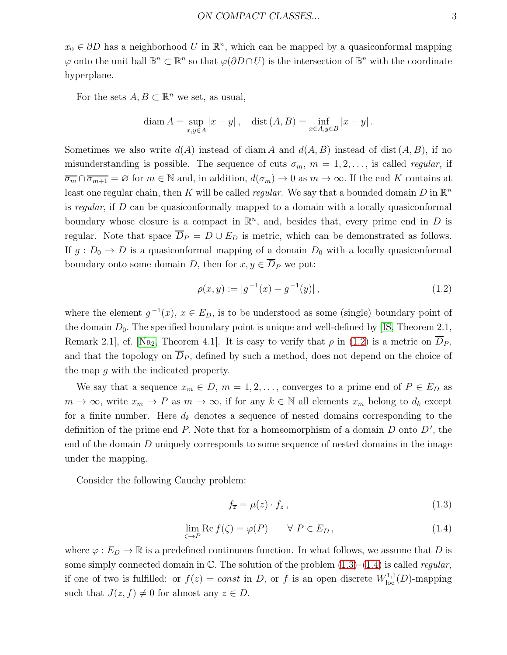$x_0 \in \partial D$  has a neighborhood U in  $\mathbb{R}^n$ , which can be mapped by a quasiconformal mapping  $\varphi$  onto the unit ball  $\mathbb{B}^n \subset \mathbb{R}^n$  so that  $\varphi(\partial D \cap U)$  is the intersection of  $\mathbb{B}^n$  with the coordinate hyperplane.

For the sets  $A, B \subset \mathbb{R}^n$  we set, as usual,

diam 
$$
A = \sup_{x,y \in A} |x - y|
$$
, dist  $(A, B) = \inf_{x \in A, y \in B} |x - y|$ .

Sometimes we also write  $d(A)$  instead of diam A and  $d(A, B)$  instead of dist  $(A, B)$ , if no misunderstanding is possible. The sequence of cuts  $\sigma_m$ ,  $m = 1, 2, \ldots$ , is called *regular*, if  $\overline{\sigma_m} \cap \overline{\sigma_{m+1}} = \emptyset$  for  $m \in \mathbb{N}$  and, in addition,  $d(\sigma_m) \to 0$  as  $m \to \infty$ . If the end K contains at least one regular chain, then K will be called *regular*. We say that a bounded domain D in  $\mathbb{R}^n$ is regular, if D can be quasiconformally mapped to a domain with a locally quasiconformal boundary whose closure is a compact in  $\mathbb{R}^n$ , and, besides that, every prime end in D is regular. Note that space  $\overline{D}_P = D \cup E_D$  is metric, which can be demonstrated as follows. If  $g: D_0 \to D$  is a quasiconformal mapping of a domain  $D_0$  with a locally quasiconformal boundary onto some domain D, then for  $x, y \in \overline{D}_P$  we put:

<span id="page-2-0"></span>
$$
\rho(x, y) := |g^{-1}(x) - g^{-1}(y)|,\tag{1.2}
$$

where the element  $g^{-1}(x)$ ,  $x \in E_D$ , is to be understood as some (single) boundary point of the domain  $D_0$ . The specified boundary point is unique and well-defined by [\[IS,](#page-28-2) Theorem 2.1, Remark 2.1, cf. [\[Na](#page-29-1)<sub>2</sub>, Theorem 4.1]. It is easy to verify that  $\rho$  in [\(1.2\)](#page-2-0) is a metric on  $\overline{D}_P$ , and that the topology on  $\overline{D}_P$ , defined by such a method, does not depend on the choice of the map g with the indicated property.

We say that a sequence  $x_m \in D$ ,  $m = 1, 2, \ldots$ , converges to a prime end of  $P \in E_D$  as  $m \to \infty$ , write  $x_m \to P$  as  $m \to \infty$ , if for any  $k \in \mathbb{N}$  all elements  $x_m$  belong to  $d_k$  except for a finite number. Here  $d_k$  denotes a sequence of nested domains corresponding to the definition of the prime end  $P$ . Note that for a homeomorphism of a domain  $D$  onto  $D'$ , the end of the domain D uniquely corresponds to some sequence of nested domains in the image under the mapping.

Consider the following Cauchy problem:

<span id="page-2-1"></span>
$$
f_{\overline{z}} = \mu(z) \cdot f_z, \qquad (1.3)
$$

<span id="page-2-2"></span>
$$
\lim_{\zeta \to P} \text{Re}\, f(\zeta) = \varphi(P) \qquad \forall \, P \in E_D \,, \tag{1.4}
$$

where  $\varphi : E_D \to \mathbb{R}$  is a predefined continuous function. In what follows, we assume that D is some simply connected domain in  $\mathbb{C}$ . The solution of the problem  $(1.3)$ – $(1.4)$  is called *regular*, if one of two is fulfilled: or  $f(z) = const$  in D, or f is an open discrete  $W^{1,1}_{loc}(D)$ -mapping such that  $J(z, f) \neq 0$  for almost any  $z \in D$ .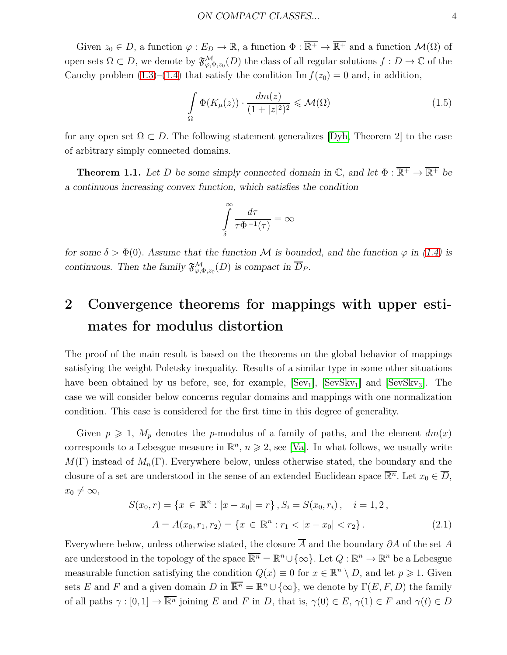Given  $z_0 \in D$ , a function  $\varphi : E_D \to \mathbb{R}$ , a function  $\Phi : \overline{\mathbb{R}^+} \to \overline{\mathbb{R}^+}$  and a function  $\mathcal{M}(\Omega)$  of open sets  $\Omega \subset D$ , we denote by  $\mathfrak{F}^{\mathcal{M}}_{\varphi,\Phi,z_0}(D)$  the class of all regular solutions  $f: D \to \mathbb{C}$  of the Cauchy problem  $(1.3)$ – $(1.4)$  that satisfy the condition Im  $f(z_0) = 0$  and, in addition,

<span id="page-3-2"></span>
$$
\int_{\Omega} \Phi(K_{\mu}(z)) \cdot \frac{dm(z)}{(1+|z|^2)^2} \leqslant \mathcal{M}(\Omega)
$$
\n(1.5)

for any open set  $\Omega \subset D$ . The following statement generalizes [\[Dyb,](#page-28-3) Theorem 2] to the case of arbitrary simply connected domains.

<span id="page-3-1"></span>**Theorem 1.1.** Let D be some simply connected domain in  $\mathbb{C}$ , and let  $\Phi : \overline{\mathbb{R}^+} \to \overline{\mathbb{R}^+}$  be *a continuous increasing convex function, which satisfies the condition*

$$
\int_{\delta}^{\infty} \frac{d\tau}{\tau \Phi^{-1}(\tau)} = \infty
$$

*for some*  $\delta > \Phi(0)$ *. Assume that the function M is bounded, and the function*  $\varphi$  *in [\(1.4\)](#page-2-2) is continuous. Then the family*  $\mathfrak{F}^{\mathcal{M}}_{\varphi,\Phi,z_0}(D)$  *is compact in*  $\overline{D}_P$ *.* 

### 2 Convergence theorems for mappings with upper estimates for modulus distortion

The proof of the main result is based on the theorems on the global behavior of mappings satisfying the weight Poletsky inequality. Results of a similar type in some other situations have been obtained by us before, see, for example,  $[Sev_1]$ ,  $[SevSkv_1]$  and  $[SevSkv_3]$ . The case we will consider below concerns regular domains and mappings with one normalization condition. This case is considered for the first time in this degree of generality.

Given  $p \geq 1$ ,  $M_p$  denotes the p-modulus of a family of paths, and the element  $dm(x)$ corresponds to a Lebesgue measure in  $\mathbb{R}^n$ ,  $n \geq 2$ , see [\[Va\]](#page-30-2). In what follows, we usually write  $M(\Gamma)$  instead of  $M_n(\Gamma)$ . Everywhere below, unless otherwise stated, the boundary and the closure of a set are understood in the sense of an extended Euclidean space  $\overline{\mathbb{R}^n}$ . Let  $x_0 \in \overline{D}$ ,  $x_0 \neq \infty$ ,

<span id="page-3-0"></span>
$$
S(x_0, r) = \{x \in \mathbb{R}^n : |x - x_0| = r\}, S_i = S(x_0, r_i), \quad i = 1, 2,
$$
  

$$
A = A(x_0, r_1, r_2) = \{x \in \mathbb{R}^n : r_1 < |x - x_0| < r_2\}.
$$
 (2.1)

Everywhere below, unless otherwise stated, the closure  $\overline{A}$  and the boundary  $\partial A$  of the set A are understood in the topology of the space  $\overline{\mathbb{R}^n} = \mathbb{R}^n \cup \{\infty\}$ . Let  $Q : \mathbb{R}^n \to \mathbb{R}^n$  be a Lebesgue measurable function satisfying the condition  $Q(x) \equiv 0$  for  $x \in \mathbb{R}^n \setminus D$ , and let  $p \geq 1$ . Given sets E and F and a given domain D in  $\overline{\mathbb{R}^n} = \mathbb{R}^n \cup \{\infty\}$ , we denote by  $\Gamma(E, F, D)$  the family of all paths  $\gamma : [0, 1] \to \overline{\mathbb{R}^n}$  joining E and F in D, that is,  $\gamma(0) \in E$ ,  $\gamma(1) \in F$  and  $\gamma(t) \in D$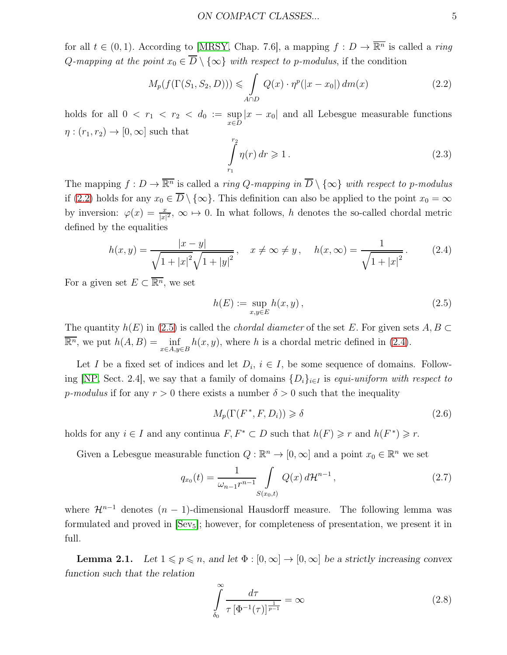for all  $t \in (0, 1)$ . According to [\[MRSY,](#page-29-3) Chap. 7.6], a mapping  $f: D \to \overline{\mathbb{R}^n}$  is called a ring Q-mapping at the point  $x_0 \in \overline{D} \setminus \{\infty\}$  with respect to p-modulus, if the condition

<span id="page-4-0"></span>
$$
M_p(f(\Gamma(S_1, S_2, D))) \leqslant \int_{A \cap D} Q(x) \cdot \eta^p(|x - x_0|) dm(x)
$$
\n(2.2)

holds for all  $0 < r_1 < r_2 < d_0 := \sup_{x \in D} |x - x_0|$  and all Lebesgue measurable functions  $\eta:(r_1,r_2)\to[0,\infty]$  such that

<span id="page-4-5"></span>
$$
\int_{r_1}^{r_2} \eta(r) dr \geqslant 1. \tag{2.3}
$$

The mapping  $f: D \to \overline{\mathbb{R}^n}$  is called a ring Q-mapping in  $\overline{D} \setminus \{\infty\}$  with respect to p-modulus if [\(2.2\)](#page-4-0) holds for any  $x_0 \in \overline{D} \setminus \{\infty\}$ . This definition can also be applied to the point  $x_0 = \infty$ by inversion:  $\varphi(x) = \frac{x}{|x|^2}$ ,  $\infty \mapsto 0$ . In what follows, h denotes the so-called chordal metric defined by the equalities

<span id="page-4-2"></span>
$$
h(x,y) = \frac{|x-y|}{\sqrt{1+|x|^2}\sqrt{1+|y|^2}}, \quad x \neq \infty \neq y, \quad h(x,\infty) = \frac{1}{\sqrt{1+|x|^2}}.
$$
 (2.4)

For a given set  $E \subset \overline{\mathbb{R}^n}$ , we set

<span id="page-4-1"></span>
$$
h(E) := \sup_{x,y \in E} h(x,y), \qquad (2.5)
$$

The quantity  $h(E)$  in [\(2.5\)](#page-4-1) is called the *chordal diameter* of the set E. For given sets  $A, B \subset$  $\overline{\mathbb{R}^n}$ , we put  $h(A, B) = \inf_{x \in A, y \in B} h(x, y)$ , where h is a chordal metric defined in [\(2.4\)](#page-4-2).

Let I be a fixed set of indices and let  $D_i$ ,  $i \in I$ , be some sequence of domains. Follow-ing [\[NP,](#page-29-4) Sect. 2.4], we say that a family of domains  $\{D_i\}_{i\in I}$  is equi-uniform with respect to p-modulus if for any  $r > 0$  there exists a number  $\delta > 0$  such that the inequality

$$
M_p(\Gamma(F^*, F, D_i)) \ge \delta \tag{2.6}
$$

holds for any  $i \in I$  and any continua  $F, F^* \subset D$  such that  $h(F) \geq r$  and  $h(F^*) \geq r$ .

Given a Lebesgue measurable function  $Q : \mathbb{R}^n \to [0, \infty]$  and a point  $x_0 \in \mathbb{R}^n$  we set

<span id="page-4-3"></span>
$$
q_{x_0}(t) = \frac{1}{\omega_{n-1}r^{n-1}} \int\limits_{S(x_0,t)} Q(x) d\mathcal{H}^{n-1}, \qquad (2.7)
$$

where  $\mathcal{H}^{n-1}$  denotes  $(n-1)$ -dimensional Hausdorff measure. The following lemma was formulated and proved in  $[Sev<sub>5</sub>];$  however, for completeness of presentation, we present it in full.

<span id="page-4-6"></span>**Lemma 2.1.** Let  $1 \leqslant p \leqslant n$ , and let  $\Phi : [0, \infty] \to [0, \infty]$  be a strictly increasing convex *function such that the relation*

<span id="page-4-4"></span>
$$
\int_{\delta_0}^{\infty} \frac{d\tau}{\tau \left[\Phi^{-1}(\tau)\right]^{\frac{1}{p-1}}} = \infty \tag{2.8}
$$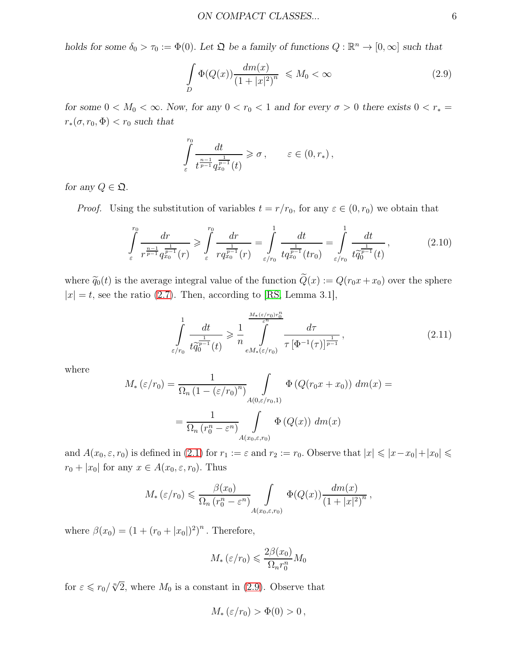*holds for some*  $\delta_0 > \tau_0 := \Phi(0)$ . Let  $\Omega$  be a family of functions  $Q : \mathbb{R}^n \to [0, \infty]$  such that

<span id="page-5-0"></span>
$$
\int_{D} \Phi(Q(x)) \frac{dm(x)}{\left(1+|x|^2\right)^n} \leqslant M_0 < \infty \tag{2.9}
$$

*for some*  $0 < M_0 < \infty$ . *Now, for any*  $0 < r_0 < 1$  *and for every*  $\sigma > 0$  *there exists*  $0 < r_*$  $r_*(\sigma, r_0, \Phi) < r_0$  such that

$$
\int_{\varepsilon}^{r_0} \frac{dt}{t^{\frac{n-1}{p-1}} q_{x_0}^{\frac{1}{p-1}}(t)} \geq \sigma , \qquad \varepsilon \in (0, r_*) ,
$$

*for any*  $Q \in \mathfrak{Q}$ *.* 

*Proof.* Using the substitution of variables  $t = r/r_0$ , for any  $\varepsilon \in (0, r_0)$  we obtain that

<span id="page-5-1"></span>
$$
\int_{\varepsilon}^{r_0} \frac{dr}{r^{\frac{n-1}{p-1}} q_{x_0}^{\frac{1}{p-1}}(r)} \geq \int_{\varepsilon}^{r_0} \frac{dr}{r q_{x_0}^{\frac{1}{p-1}}(r)} = \int_{\varepsilon/r_0}^{1} \frac{dt}{t q_{x_0}^{\frac{1}{p-1}}(tr_0)} = \int_{\varepsilon/r_0}^{1} \frac{dt}{t \tilde{q}_0^{\frac{1}{p-1}}(t)},
$$
\n(2.10)

where  $\tilde{q}_0(t)$  is the average integral value of the function  $\tilde{Q}(x) := Q(r_0x + x_0)$  over the sphere  $|x| = t$ , see the ratio [\(2.7\)](#page-4-3). Then, according to [\[RS,](#page-29-5) Lemma 3.1],

<span id="page-5-2"></span>
$$
\int_{\varepsilon/r_0}^1 \frac{dt}{t\tilde{q}_0^{\frac{1}{p-1}}(t)} \geqslant \frac{1}{n} \int_{\varepsilon M_*\left(\varepsilon/r_0\right)}^{\frac{M_*\left(\varepsilon/r_0\right)r_0^n}{\varepsilon^n}} \frac{d\tau}{\tau \left[\Phi^{-1}(\tau)\right]^{\frac{1}{p-1}}},\tag{2.11}
$$

where

$$
M_{*}(\varepsilon/r_{0}) = \frac{1}{\Omega_{n} (1 - (\varepsilon/r_{0})^{n})} \int_{A(0,\varepsilon/r_{0},1)} \Phi(Q(r_{0}x + x_{0})) dm(x) =
$$
  
= 
$$
\frac{1}{\Omega_{n} (r_{0}^{n} - \varepsilon^{n})} \int_{A(x_{0},\varepsilon,r_{0})} \Phi(Q(x)) dm(x)
$$

and  $A(x_0, \varepsilon, r_0)$  is defined in [\(2.1\)](#page-3-0) for  $r_1 := \varepsilon$  and  $r_2 := r_0$ . Observe that  $|x| \leq |x - x_0| + |x_0| \leq$  $r_0 + |x_0|$  for any  $x \in A(x_0, \varepsilon, r_0)$ . Thus

$$
M_*\left(\varepsilon/r_0\right) \leqslant \frac{\beta(x_0)}{\Omega_n\left(r_0^n - \varepsilon^n\right)} \int\limits_{A(x_0,\varepsilon,r_0)} \Phi(Q(x)) \frac{dm(x)}{\left(1+|x|^2\right)^n},
$$

where  $\beta(x_0) = (1 + (r_0 + |x_0|)^2)^n$ . Therefore,

$$
M_*\left(\varepsilon/r_0\right) \leqslant \frac{2\beta(x_0)}{\Omega_n r_0^n} M_0
$$

for  $\varepsilon \leq r_0 / \sqrt[n]{2}$ , where  $M_0$  is a constant in [\(2.9\)](#page-5-0). Observe that

$$
M_*\left(\varepsilon/r_0\right) > \Phi(0) > 0\,,
$$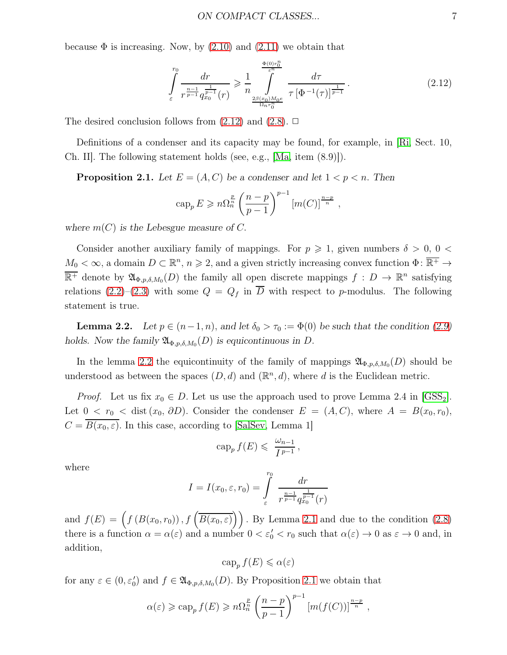because  $\Phi$  is increasing. Now, by [\(2.10\)](#page-5-1) and [\(2.11\)](#page-5-2) we obtain that

<span id="page-6-0"></span>
$$
\int_{\varepsilon}^{r_0} \frac{dr}{r^{\frac{n-1}{p-1}} q_{x_0}^{\frac{1}{p-1}}(r)} \geq \frac{1}{n} \int_{\frac{2\beta(x_0)M_0e}{\Omega_n r_0^n}}^{\frac{\Phi(0)r_0^n}{\varepsilon^n}} \frac{d\tau}{\tau \left[\Phi^{-1}(\tau)\right]^{\frac{1}{p-1}}}.
$$
\n(2.12)

The desired conclusion follows from  $(2.12)$  and  $(2.8)$ .  $\Box$ 

<span id="page-6-2"></span>Definitions of a condenser and its capacity may be found, for example, in [\[Ri,](#page-29-6) Sect. 10, Ch. II]. The following statement holds (see, e.g., [\[Ma,](#page-29-7) item (8.9)]).

**Proposition 2.1.** Let  $E = (A, C)$  be a condenser and let  $1 < p < n$ . Then

$$
\operatorname{cap}_p E \geqslant n \Omega_n^{\frac{p}{n}} \left( \frac{n-p}{p-1} \right)^{p-1} \left[ m(C) \right]^{\frac{n-p}{n}},
$$

where  $m(C)$  *is the Lebesgue measure of C.* 

Consider another auxiliary family of mappings. For  $p \geq 1$ , given numbers  $\delta > 0$ ,  $0 <$  $M_0 < \infty$ , a domain  $D \subset \mathbb{R}^n$ ,  $n \geq 2$ , and a given strictly increasing convex function  $\Phi \colon \overline{\mathbb{R}^+} \to$  $\overline{\mathbb{R}^+}$  denote by  $\mathfrak{A}_{\Phi,p,\delta,M_0}(D)$  the family all open discrete mappings  $f: D \to \mathbb{R}^n$  satisfying relations [\(2.2\)](#page-4-0)–[\(2.3\)](#page-4-5) with some  $Q = Q_f$  in  $\overline{D}$  with respect to p-modulus. The following statement is true.

<span id="page-6-1"></span>**Lemma 2.2.** Let  $p \in (n-1, n)$ , and let  $\delta_0 > \tau_0 := \Phi(0)$  be such that the condition [\(2.9\)](#page-5-0) *holds.* Now the family  $\mathfrak{A}_{\Phi,p,\delta,M_0}(D)$  *is equicontinuous in* D.

In the lemma [2.2](#page-6-1) the equicontinuity of the family of mappings  $\mathfrak{A}_{\Phi,p,\delta,M_0}(D)$  should be understood as between the spaces  $(D, d)$  and  $(\mathbb{R}^n, d)$ , where d is the Euclidean metric.

*Proof.* Let us fix  $x_0 \in D$ . Let us use the approach used to prove Lemma 2.4 in  $|GSS_2|$ . Let  $0 < r_0 <$  dist  $(x_0, \partial D)$ . Consider the condenser  $E = (A, C)$ , where  $A = B(x_0, r_0)$ ,  $C = \overline{B(x_0, \varepsilon)}$ . In this case, according to [\[SalSev,](#page-29-8) Lemma 1]

$$
\operatorname{cap}_p f(E) \leqslant \frac{\omega_{n-1}}{I^{p-1}},
$$

where

$$
I = I(x_0, \varepsilon, r_0) = \int_{\varepsilon}^{r_0} \frac{dr}{r^{\frac{n-1}{p-1}} q_{x_0}^{\frac{1}{p-1}}(r)}
$$

and  $f(E) = \left(f(B(x_0, r_0)), f(\overline{B(x_0, \varepsilon)})\right)$ . By Lemma [2.1](#page-4-6) and due to the condition [\(2.8\)](#page-4-4) there is a function  $\alpha = \alpha(\varepsilon)$  and a number  $0 < \varepsilon_0' < r_0$  such that  $\alpha(\varepsilon) \to 0$  as  $\varepsilon \to 0$  and, in addition,

$$
\operatorname{cap}_p f(E) \leq \alpha(\varepsilon)
$$

for any  $\varepsilon \in (0, \varepsilon_0')$  and  $f \in \mathfrak{A}_{\Phi, p, \delta, M_0}(D)$ . By Proposition [2.1](#page-6-2) we obtain that

$$
\alpha(\varepsilon) \geqslant \text{cap}_p f(E) \geqslant n \Omega_n^{\frac{p}{n}} \left( \frac{n-p}{p-1} \right)^{p-1} \left[ m(f(C)) \right]^{\frac{n-p}{n}},
$$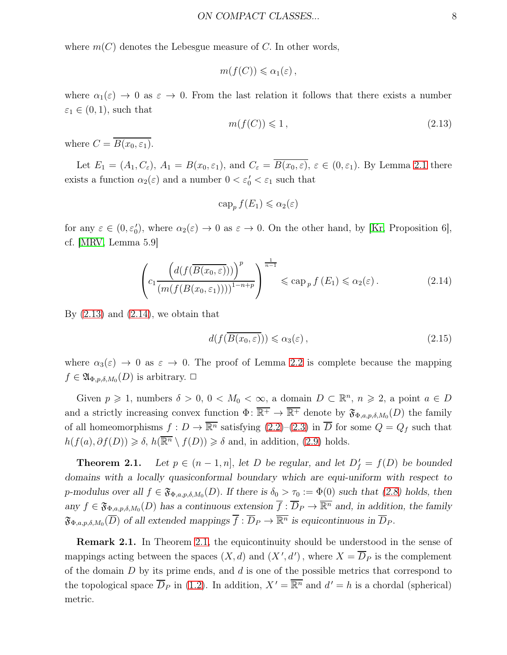where  $m(C)$  denotes the Lebesgue measure of C. In other words,

$$
m(f(C))\leq \alpha_1(\varepsilon)\,,
$$

where  $\alpha_1(\varepsilon) \to 0$  as  $\varepsilon \to 0$ . From the last relation it follows that there exists a number  $\varepsilon_1 \in (0,1)$ , such that

<span id="page-7-0"></span>
$$
m(f(C)) \leq 1, \tag{2.13}
$$

where  $C = \overline{B(x_0, \varepsilon_1)}$ .

Let  $E_1 = (A_1, C_{\varepsilon}), A_1 = B(x_0, \varepsilon_1), \text{ and } C_{\varepsilon} = \overline{B(x_0, \varepsilon)}, \varepsilon \in (0, \varepsilon_1)$ . By Lemma [2.1](#page-4-6) there exists a function  $\alpha_2(\varepsilon)$  and a number  $0 < \varepsilon_0' < \varepsilon_1$  such that

$$
\operatorname{cap}_p f(E_1) \leq \alpha_2(\varepsilon)
$$

for any  $\varepsilon \in (0, \varepsilon_0')$ , where  $\alpha_2(\varepsilon) \to 0$  as  $\varepsilon \to 0$ . On the other hand, by [\[Kr,](#page-29-9) Proposition 6], cf. [\[MRV,](#page-29-10) Lemma 5.9]

<span id="page-7-1"></span>
$$
\left(c_1 \frac{\left(d(f(\overline{B(x_0,\varepsilon)}))\right)^p}{\left(m(f(B(x_0,\varepsilon_1)))\right)^{1-n+p}}\right)^{\frac{1}{n-1}} \leqslant \text{cap}_p f\left(E_1\right) \leqslant \alpha_2(\varepsilon). \tag{2.14}
$$

By  $(2.13)$  and  $(2.14)$ , we obtain that

$$
d(f(\overline{B(x_0,\varepsilon)})) \leq \alpha_3(\varepsilon) ,\qquad (2.15)
$$

where  $\alpha_3(\varepsilon) \to 0$  as  $\varepsilon \to 0$ . The proof of Lemma [2.2](#page-6-1) is complete because the mapping  $f \in \mathfrak{A}_{\Phi,p,\delta,M_0}(D)$  is arbitrary.  $\Box$ 

Given  $p \geq 1$ , numbers  $\delta > 0$ ,  $0 < M_0 < \infty$ , a domain  $D \subset \mathbb{R}^n$ ,  $n \geq 2$ , a point  $a \in D$ and a strictly increasing convex function  $\Phi: \overline{\mathbb{R}^+} \to \overline{\mathbb{R}^+}$  denote by  $\mathfrak{F}_{\Phi,a,p,\delta,M_0}(D)$  the family of all homeomorphisms  $f: D \to \overline{\mathbb{R}^n}$  satisfying  $(2.2)-(2.3)$  $(2.2)-(2.3)$  in  $\overline{D}$  for some  $Q = Q_f$  such that  $h(f(a), \partial f(D)) \geq \delta$ ,  $h(\overline{\mathbb{R}^n} \setminus f(D)) \geq \delta$  and, in addition, [\(2.9\)](#page-5-0) holds.

<span id="page-7-2"></span>**Theorem 2.1.** Let  $p \in (n-1, n]$ , let D be regular, and let  $D'_f = f(D)$  be bounded *domains with a locally quasiconformal boundary which are equi-uniform with respect to* p-modulus over all  $f \in \mathfrak{F}_{\Phi,a,p,\delta,M_0}(D)$ . If there is  $\delta_0 > \tau_0 := \Phi(0)$  such that  $(2.8)$  holds, then  $any f \in \mathfrak{F}_{\Phi,a,p,\delta,M_0}(D)$  *has a continuous extension*  $\overline{f} : \overline{D}_P \to \overline{\mathbb{R}^n}$  *and, in addition, the family*  $\mathfrak{F}_{\Phi,a,p,\delta,M_0}(\overline{D})$  of all extended mappings  $\overline{f} : \overline{D}_P \to \overline{\mathbb{R}^n}$  is equicontinuous in  $\overline{D}_P$ .

Remark 2.1. In Theorem [2.1,](#page-7-2) the equicontinuity should be understood in the sense of mappings acting between the spaces  $(X, d)$  and  $(X', d')$ , where  $X = \overline{D}_P$  is the complement of the domain  $D$  by its prime ends, and  $d$  is one of the possible metrics that correspond to the topological space  $\overline{D}_P$  in [\(1.2\)](#page-2-0). In addition,  $X' = \overline{\mathbb{R}^n}$  and  $d' = h$  is a chordal (spherical) metric.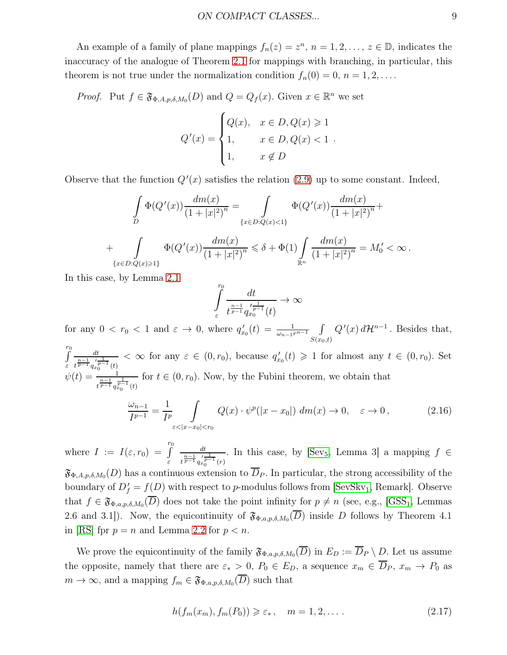An example of a family of plane mappings  $f_n(z) = z^n$ ,  $n = 1, 2, ..., z \in \mathbb{D}$ , indicates the inaccuracy of the analogue of Theorem [2.1](#page-7-2) for mappings with branching, in particular, this theorem is not true under the normalization condition  $f_n(0) = 0, n = 1, 2, \ldots$ .

*Proof.* Put  $f \in \mathfrak{F}_{\Phi,A,p,\delta,M_0}(D)$  and  $Q = Q_f(x)$ . Given  $x \in \mathbb{R}^n$  we set

$$
Q'(x) = \begin{cases} Q(x), & x \in D, Q(x) \geq 1 \\ 1, & x \in D, Q(x) < 1 \\ 1, & x \notin D \end{cases}
$$

Observe that the function  $Q'(x)$  satisfies the relation  $(2.9)$  up to some constant. Indeed,

$$
\int_{D} \Phi(Q'(x)) \frac{dm(x)}{(1+|x|^2)^n} = \int_{\{x \in D: Q(x) < 1\}} \Phi(Q'(x)) \frac{dm(x)}{(1+|x|^2)^n} + \int_{\{x \in D: Q(x) \ge 1\}} \Phi(Q'(x)) \frac{dm(x)}{(1+|x|^2)^n} \le \delta + \Phi(1) \int_{\mathbb{R}^n} \frac{dm(x)}{(1+|x|^2)^n} = M'_0 < \infty.
$$

In this case, by Lemma [2.1](#page-4-6)

$$
\int\limits_{\varepsilon}^{r_0}\frac{dt}{t^{\frac{n-1}{p-1}}q_{x_0}^{\prime\frac{1}{p-1}}(t)}\rightarrow\infty
$$

for any  $0 < r_0 < 1$  and  $\varepsilon \to 0$ , where  $q'_{x_0}(t) = \frac{1}{\omega_{n-1}r^{n-1}}$  $S(x_0,t)$  $Q'(x) d\mathcal{H}^{n-1}$ . Besides that,

 $\int_{0}^{r_0}$ ε dt  $\frac{dt}{t^{\frac{n-1}{p-1}}t^{\frac{1}{p-1}}(t)} < \infty$  for any  $\varepsilon \in (0,r_0)$ , because  $q'_{x_0}(t) \geq 1$  for almost any  $t \in (0,r_0)$ . Set  $\psi(t) = \frac{1}{n-1}$  $\frac{1}{t^{\frac{n-1}{p-1}}q_{x_0}^{\frac{1}{p-1}}(t)}$  for  $t \in (0, r_0)$ . Now, by the Fubini theorem, we obtain that

$$
\frac{\omega_{n-1}}{I^{p-1}} = \frac{1}{I^p} \int\limits_{\varepsilon < |x - x_0| < r_0} Q(x) \cdot \psi^p(|x - x_0|) \, dm(x) \to 0, \quad \varepsilon \to 0, \tag{2.16}
$$

where  $I := I(\varepsilon, r_0) = \int^{r_0}$ ε dt  $\frac{dt}{t^{\frac{n-1}{p-1}}q_{x_0}^{r-1}(r)}$ . In this case, by [\[Sev](#page-30-5)<sub>5</sub>, Lemma 3] a mapping  $f \in$  $\mathfrak{F}_{\Phi,A,p,\delta,M_0}(D)$  has a continuous extension to  $\overline{D}_P$ . In particular, the strong accessibility of the boundary of  $D'_f = f(D)$  with respect to p-modulus follows from [\[SevSkv](#page-30-3)<sub>1</sub>, Remark]. Observe that  $f \in \mathfrak{F}_{\Phi,a,p,\delta,M_0}(\overline{D})$  does not take the point infinity for  $p \neq n$  (see, e.g., [\[GSS](#page-28-5)<sub>1</sub>, Lemmas 2.6 and 3.1]). Now, the equicontinuity of  $\mathfrak{F}_{\Phi,a,p,\delta,M_0}(\overline{D})$  inside D follows by Theorem 4.1 in [\[RS\]](#page-29-5) fpr  $p = n$  and Lemma [2.2](#page-6-1) for  $p < n$ .

We prove the equicontinuity of the family  $\mathfrak{F}_{\Phi,a,p,\delta,M_0}(\overline{D})$  in  $E_D := \overline{D}_P \setminus D$ . Let us assume the opposite, namely that there are  $\varepsilon_* > 0$ ,  $P_0 \in E_D$ , a sequence  $x_m \in \overline{D}_P$ ,  $x_m \to P_0$  as  $m \to \infty$ , and a mapping  $f_m \in \mathfrak{F}_{\Phi,a,p,\delta,M_0}(\overline{D})$  such that

<span id="page-8-0"></span>
$$
h(f_m(x_m), f_m(P_0)) \geq \varepsilon_*, \quad m = 1, 2, \dots
$$
\n
$$
(2.17)
$$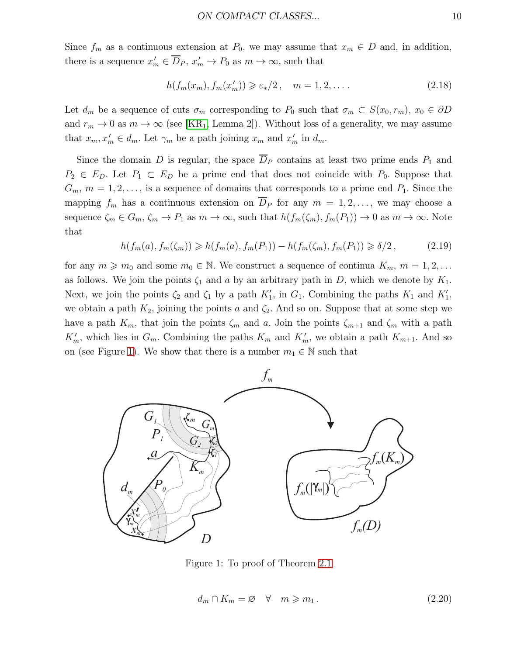Since  $f_m$  as a continuous extension at  $P_0$ , we may assume that  $x_m \in D$  and, in addition, there is a sequence  $x'_m \in \overline{D}_P$ ,  $x'_m \to P_0$  as  $m \to \infty$ , such that

<span id="page-9-3"></span>
$$
h(f_m(x_m), f_m(x'_m)) \geqslant \varepsilon_*/2\,, \quad m = 1, 2, \dots \,.
$$

Let  $d_m$  be a sequence of cuts  $\sigma_m$  corresponding to  $P_0$  such that  $\sigma_m \subset S(x_0, r_m)$ ,  $x_0 \in \partial D$ and  $r_m \to 0$  as  $m \to \infty$  (see [\[KR](#page-28-0)<sub>1</sub>, Lemma 2]). Without loss of a generality, we may assume that  $x_m, x'_m \in d_m$ . Let  $\gamma_m$  be a path joining  $x_m$  and  $x'_m$  in  $d_m$ .

Since the domain D is regular, the space  $\overline{D}_P$  contains at least two prime ends  $P_1$  and  $P_2 \in E_D$ . Let  $P_1 \subset E_D$  be a prime end that does not coincide with  $P_0$ . Suppose that  $G_m$ ,  $m = 1, 2, \ldots$ , is a sequence of domains that corresponds to a prime end  $P_1$ . Since the mapping  $f_m$  has a continuous extension on  $D_P$  for any  $m = 1, 2, \ldots$ , we may choose a sequence  $\zeta_m \in G_m$ ,  $\zeta_m \to P_1$  as  $m \to \infty$ , such that  $h(f_m(\zeta_m), f_m(P_1)) \to 0$  as  $m \to \infty$ . Note that

<span id="page-9-2"></span>
$$
h(f_m(a), f_m(\zeta_m)) \geq h(f_m(a), f_m(P_1)) - h(f_m(\zeta_m), f_m(P_1)) \geq \delta/2, \qquad (2.19)
$$

for any  $m \geq m_0$  and some  $m_0 \in \mathbb{N}$ . We construct a sequence of continua  $K_m$ ,  $m = 1, 2, \ldots$ as follows. We join the points  $\zeta_1$  and a by an arbitrary path in D, which we denote by  $K_1$ . Next, we join the points  $\zeta_2$  and  $\zeta_1$  by a path  $K'_1$ , in  $G_1$ . Combining the paths  $K_1$  and  $K'_1$ , we obtain a path  $K_2$ , joining the points a and  $\zeta_2$ . And so on. Suppose that at some step we have a path  $K_m$ , that join the points  $\zeta_m$  and a. Join the points  $\zeta_{m+1}$  and  $\zeta_m$  with a path  $K'_m$ , which lies in  $G_m$ . Combining the paths  $K_m$  and  $K'_m$ , we obtain a path  $K_{m+1}$ . And so on (see Figure [1\)](#page-9-0). We show that there is a number  $m_1 \in \mathbb{N}$  such that



Figure 1: To proof of Theorem [2.1](#page-7-2)

<span id="page-9-1"></span><span id="page-9-0"></span>
$$
d_m \cap K_m = \varnothing \quad \forall \quad m \geqslant m_1. \tag{2.20}
$$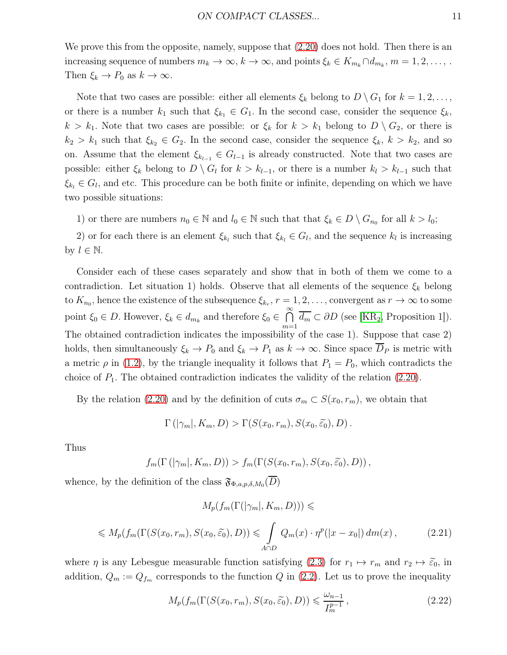We prove this from the opposite, namely, suppose that  $(2.20)$  does not hold. Then there is an increasing sequence of numbers  $m_k \to \infty$ ,  $k \to \infty$ , and points  $\xi_k \in K_{m_k} \cap d_{m_k}$ ,  $m = 1, 2, \ldots$ ,. Then  $\xi_k \to P_0$  as  $k \to \infty$ .

Note that two cases are possible: either all elements  $\xi_k$  belong to  $D \setminus G_1$  for  $k = 1, 2, \ldots$ , or there is a number  $k_1$  such that  $\xi_{k_1} \in G_1$ . In the second case, consider the sequence  $\xi_k$ ,  $k > k_1$ . Note that two cases are possible: or  $\xi_k$  for  $k > k_1$  belong to  $D \setminus G_2$ , or there is  $k_2 > k_1$  such that  $\xi_{k_2} \in G_2$ . In the second case, consider the sequence  $\xi_k$ ,  $k > k_2$ , and so on. Assume that the element  $\xi_{k_{l-1}} \in G_{l-1}$  is already constructed. Note that two cases are possible: either  $\xi_k$  belong to  $D \setminus G_l$  for  $k > k_{l-1}$ , or there is a number  $k_l > k_{l-1}$  such that  $\xi_{k_l} \in G_l$ , and etc. This procedure can be both finite or infinite, depending on which we have two possible situations:

1) or there are numbers  $n_0 \in \mathbb{N}$  and  $l_0 \in \mathbb{N}$  such that that  $\xi_k \in D \setminus G_{n_0}$  for all  $k > l_0$ ;

2) or for each there is an element  $\xi_{k_l}$  such that  $\xi_{k_l} \in G_l$ , and the sequence  $k_l$  is increasing by  $l \in \mathbb{N}$ .

Consider each of these cases separately and show that in both of them we come to a contradiction. Let situation 1) holds. Observe that all elements of the sequence  $\xi_k$  belong to  $K_{n_0}$ , hence the existence of the subsequence  $\xi_{k_r}, r = 1, 2, \ldots$ , convergent as  $r \to \infty$  to some point  $\xi_0 \in D$ . However,  $\xi_k \in d_{m_k}$  and therefore  $\xi_0 \in \bigcap_{k=1}^{\infty}$  $\bigcap_{m=1}$   $d_m \subset \partial D$  (see [\[KR](#page-28-1)<sub>2</sub>, Proposition 1]). The obtained contradiction indicates the impossibility of the case 1). Suppose that case 2) holds, then simultaneously  $\xi_k \to P_0$  and  $\xi_k \to P_1$  as  $k \to \infty$ . Since space  $\overline{D}_P$  is metric with a metric  $\rho$  in [\(1.2\)](#page-2-0), by the triangle inequality it follows that  $P_1 = P_0$ , which contradicts the choice of  $P_1$ . The obtained contradiction indicates the validity of the relation [\(2.20\)](#page-9-1).

By the relation [\(2.20\)](#page-9-1) and by the definition of cuts  $\sigma_m \subset S(x_0, r_m)$ , we obtain that

$$
\Gamma(|\gamma_m|, K_m, D) > \Gamma(S(x_0, r_m), S(x_0, \widetilde{\varepsilon_0}), D).
$$

Thus

$$
f_m(\Gamma(|\gamma_m|, K_m, D)) > f_m(\Gamma(S(x_0, r_m), S(x_0, \widetilde{\varepsilon_0}), D)),
$$

whence, by the definition of the class  $\mathfrak{F}_{\Phi,a,p,\delta,M_0}(\overline{D})$ 

<span id="page-10-1"></span>
$$
M_p(f_m(\Gamma(|\gamma_m|, K_m, D))) \le
$$
  

$$
\leq M_p(f_m(\Gamma(S(x_0, r_m), S(x_0, \tilde{\epsilon}_0), D)) \leq \int_{A \cap D} Q_m(x) \cdot \eta^p(|x - x_0|) dm(x),
$$
 (2.21)

where  $\eta$  is any Lebesgue measurable function satisfying [\(2.3\)](#page-4-5) for  $r_1 \mapsto r_m$  and  $r_2 \mapsto \tilde{\varepsilon}_0$ , in addition,  $Q_m := Q_{f_m}$  corresponds to the function Q in [\(2.2\)](#page-4-0). Let us to prove the inequality

<span id="page-10-0"></span>
$$
M_p(f_m(\Gamma(S(x_0, r_m), S(x_0, \widetilde{\varepsilon_0}), D)) \leq \frac{\omega_{n-1}}{I_m^{p-1}},
$$
\n(2.22)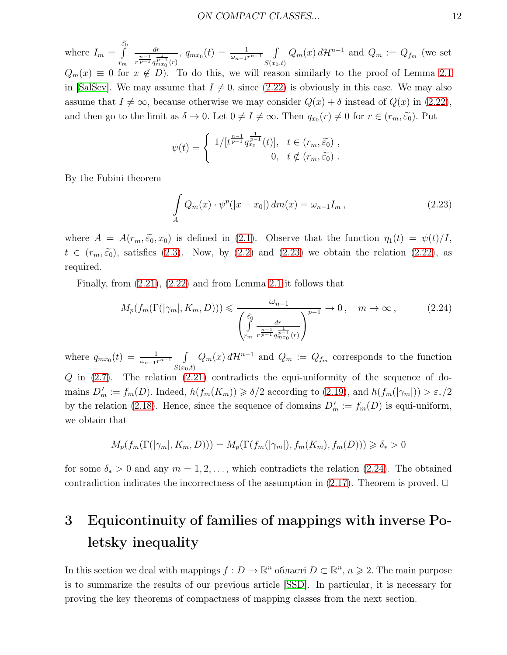where  $I_m = \int_{0}^{\widetilde{\varepsilon}_0}$ rm dr  $r^{\frac{n-1}{p-1}} q_{m x_0}^{\frac{1}{p-1}}(r)$ ,  $q_{mx_0}(t) = \frac{1}{\omega_{n-1}r^{n-1}} \int$  $\int_{S(x_0,t)} Q_m(x) d\mathcal{H}^{n-1}$  and  $Q_m := Q_{f_m}$  (we set  $Q_m(x) \equiv 0$  for  $x \notin D$ ). To do this, we will reason similarly to the proof of Lemma [2.1](#page-4-6) in [\[SalSev\]](#page-29-8). We may assume that  $I \neq 0$ , since [\(2.22\)](#page-10-0) is obviously in this case. We may also assume that  $I \neq \infty$ , because otherwise we may consider  $Q(x) + \delta$  instead of  $Q(x)$  in [\(2.22\)](#page-10-0), and then go to the limit as  $\delta \to 0$ . Let  $0 \neq I \neq \infty$ . Then  $q_{x_0}(r) \neq 0$  for  $r \in (r_m, \tilde{\varepsilon}_0)$ . Put

$$
\psi(t) = \begin{cases} 1/[t^{\frac{n-1}{p-1}} q_{x_0}^{\frac{1}{p-1}}(t)], & t \in (r_m, \widetilde{\varepsilon_0}) ,\\ 0, & t \notin (r_m, \widetilde{\varepsilon_0}) . \end{cases}
$$

By the Fubini theorem

<span id="page-11-0"></span>
$$
\int_{A} Q_m(x) \cdot \psi^p(|x - x_0|) dm(x) = \omega_{n-1} I_m,
$$
\n(2.23)

where  $A = A(r_m, \tilde{\epsilon}_0, x_0)$  is defined in [\(2.1\)](#page-3-0). Observe that the function  $\eta_1(t) = \psi(t)/I$ ,  $t \in (r_m, \tilde{\varepsilon}_0)$ , satisfies [\(2.3\)](#page-4-5). Now, by [\(2.2\)](#page-4-0) and [\(2.23\)](#page-11-0) we obtain the relation [\(2.22\)](#page-10-0), as required.

Finally, from [\(2.21\)](#page-10-1), [\(2.22\)](#page-10-0) and from Lemma [2.1](#page-4-6) it follows that

<span id="page-11-1"></span>
$$
M_p(f_m(\Gamma(|\gamma_m|, K_m, D))) \leq \frac{\omega_{n-1}}{\left(\int_{r_m}^{\widetilde{\varepsilon_0}} \frac{dr}{r^{\frac{n-1}{p-1}} q_{m x_0}^{\frac{1}{p-1}}(r)}\right)^{p-1}} \to 0, \quad m \to \infty,
$$
 (2.24)

where  $q_{mx_0}(t) = \frac{1}{\omega_{n-1}r^{n-1}} \int$  $\int_{S(x_0,t)} Q_m(x) d\mathcal{H}^{n-1}$  and  $Q_m := Q_{f_m}$  corresponds to the function  $Q$  in  $(2.7)$ . The relation  $(2.21)$  contradicts the equi-uniformity of the sequence of domains  $D'_m := f_m(D)$ . Indeed,  $h(f_m(K_m)) \ge \delta/2$  according to [\(2.19\)](#page-9-2), and  $h(f_m(|\gamma_m|)) > \varepsilon_*/2$ by the relation [\(2.18\)](#page-9-3). Hence, since the sequence of domains  $D'_m := f_m(D)$  is equi-uniform, we obtain that

$$
M_p(f_m(\Gamma(|\gamma_m|, K_m, D))) = M_p(\Gamma(f_m(|\gamma_m|), f_m(K_m), f_m(D))) \ge \delta_* > 0
$$

for some  $\delta_* > 0$  and any  $m = 1, 2, \ldots$ , which contradicts the relation [\(2.24\)](#page-11-1). The obtained contradiction indicates the incorrectness of the assumption in  $(2.17)$ . Theorem is proved.  $\Box$ 

## 3 Equicontinuity of families of mappings with inverse Poletsky inequality

In this section we deal with mappings  $f: D \to \mathbb{R}^n$  області  $D \subset \mathbb{R}^n$ ,  $n \geqslant 2$ . The main purpose is to summarize the results of our previous article [\[SSD\]](#page-30-6). In particular, it is necessary for proving the key theorems of compactness of mapping classes from the next section.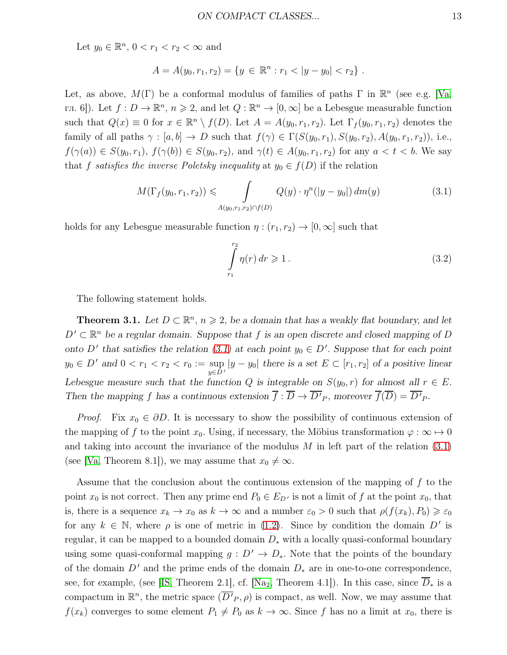Let  $y_0 \in \mathbb{R}^n$ ,  $0 < r_1 < r_2 < \infty$  and

$$
A = A(y_0, r_1, r_2) = \{ y \in \mathbb{R}^n : r_1 < |y - y_0| < r_2 \} .
$$

Let, as above,  $M(\Gamma)$  be a conformal modulus of families of paths  $\Gamma$  in  $\mathbb{R}^n$  (see e.g. [\[Va,](#page-30-2) гл. 6]). Let  $f: D \to \mathbb{R}^n$ ,  $n \geq 2$ , and let  $Q: \mathbb{R}^n \to [0, \infty]$  be a Lebesgue measurable function such that  $Q(x) \equiv 0$  for  $x \in \mathbb{R}^n \setminus f(D)$ . Let  $A = A(y_0, r_1, r_2)$ . Let  $\Gamma_f(y_0, r_1, r_2)$  denotes the family of all paths  $\gamma : [a, b] \to D$  such that  $f(\gamma) \in \Gamma(S(y_0, r_1), S(y_0, r_2), A(y_0, r_1, r_2))$ , i.e.,  $f(\gamma(a)) \in S(y_0, r_1)$ ,  $f(\gamma(b)) \in S(y_0, r_2)$ , and  $\gamma(t) \in A(y_0, r_1, r_2)$  for any  $a < t < b$ . We say that f satisfies the inverse Poletsky inequality at  $y_0 \in f(D)$  if the relation

<span id="page-12-0"></span>
$$
M(\Gamma_f(y_0, r_1, r_2)) \leq \int_{A(y_0, r_1, r_2) \cap f(D)} Q(y) \cdot \eta^n(|y - y_0|) dm(y)
$$
 (3.1)

holds for any Lebesgue measurable function  $\eta : (r_1, r_2) \to [0, \infty]$  such that

<span id="page-12-2"></span>
$$
\int_{r_1}^{r_2} \eta(r) dr \geqslant 1. \tag{3.2}
$$

<span id="page-12-1"></span>The following statement holds.

**Theorem 3.1.** Let  $D \subset \mathbb{R}^n$ ,  $n \ge 2$ , be a domain that has a weakly flat boundary, and let  $D' \subset \mathbb{R}^n$  be a regular domain. Suppose that f is an open discrete and closed mapping of D *onto*  $D'$  that satisfies the relation [\(3.1\)](#page-12-0) at each point  $y_0 \in D'$ . Suppose that for each point  $y_0 \in D'$  and  $0 < r_1 < r_2 < r_0 := \sup_{y \in D'} |y - y_0|$  there is a set  $E \subset [r_1, r_2]$  of a positive linear *Lebesgue measure such that the function* Q *is integrable on*  $S(y_0, r)$  *for almost all*  $r \in E$ . *Then the mapping* f has a continuous extension  $f: D \to D'_{P}$ , moreover  $f(D) = D'_{P}$ .

*Proof.* Fix  $x_0 \in \partial D$ . It is necessary to show the possibility of continuous extension of the mapping of f to the point  $x_0$ . Using, if necessary, the Möbius transformation  $\varphi : \infty \mapsto 0$ and taking into account the invariance of the modulus  $M$  in left part of the relation  $(3.1)$ (see [\[Va,](#page-30-2) Theorem 8.1]), we may assume that  $x_0 \neq \infty$ .

Assume that the conclusion about the continuous extension of the mapping of  $f$  to the point  $x_0$  is not correct. Then any prime end  $P_0 \in E_{D'}$  is not a limit of f at the point  $x_0$ , that is, there is a sequence  $x_k \to x_0$  as  $k \to \infty$  and a number  $\varepsilon_0 > 0$  such that  $\rho(f(x_k), P_0) \geq \varepsilon_0$ for any  $k \in \mathbb{N}$ , where  $\rho$  is one of metric in [\(1.2\)](#page-2-0). Since by condition the domain  $D'$  is regular, it can be mapped to a bounded domain  $D_*$  with a locally quasi-conformal boundary using some quasi-conformal mapping  $g : D' \to D_*$ . Note that the points of the boundary of the domain  $D'$  and the prime ends of the domain  $D_*$  are in one-to-one correspondence, see, for example, (see [\[IS,](#page-28-2) Theorem 2.1], cf. [\[Na](#page-29-1)<sub>2</sub>, Theorem 4.1]). In this case, since  $\overline{D}_*$  is a compactum in  $\mathbb{R}^n$ , the metric space  $(\overline{D'}_P, \rho)$  is compact, as well. Now, we may assume that  $f(x_k)$  converges to some element  $P_1 \neq P_0$  as  $k \to \infty$ . Since f has no a limit at  $x_0$ , there is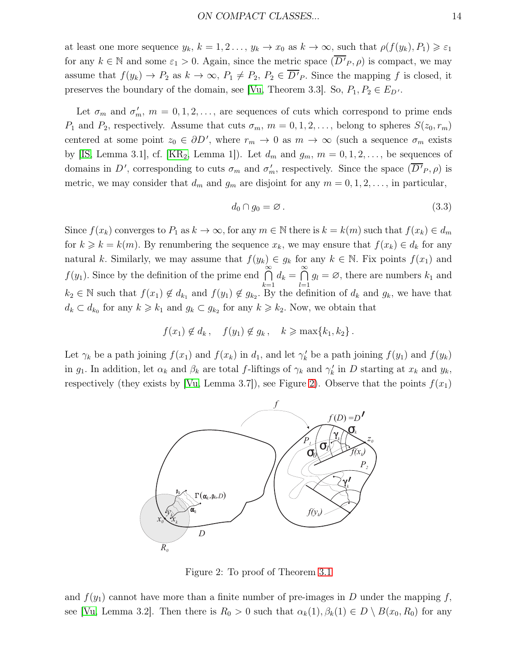at least one more sequence  $y_k$ ,  $k = 1, 2, ..., y_k \rightarrow x_0$  as  $k \rightarrow \infty$ , such that  $\rho(f(y_k), P_1) \geq \varepsilon_1$ for any  $k \in \mathbb{N}$  and some  $\varepsilon_1 > 0$ . Again, since the metric space  $(\overline{D'}_P, \rho)$  is compact, we may assume that  $f(y_k) \to P_2$  as  $k \to \infty$ ,  $P_1 \neq P_2$ ,  $P_2 \in D'P$ . Since the mapping f is closed, it preserves the boundary of the domain, see [\[Vu,](#page-30-7) Theorem 3.3]. So,  $P_1, P_2 \in E_{D'}$ .

Let  $\sigma_m$  and  $\sigma'_m$ ,  $m = 0, 1, 2, \ldots$ , are sequences of cuts which correspond to prime ends  $P_1$  and  $P_2$ , respectively. Assume that cuts  $\sigma_m$ ,  $m = 0, 1, 2, \ldots$ , belong to spheres  $S(z_0, r_m)$ centered at some point  $z_0 \in \partial D'$ , where  $r_m \to 0$  as  $m \to \infty$  (such a sequence  $\sigma_m$  exists by [\[IS,](#page-28-2) Lemma 3.1], cf. [\[KR](#page-28-1)<sub>2</sub>, Lemma 1]). Let  $d_m$  and  $g_m$ ,  $m = 0, 1, 2, \ldots$ , be sequences of domains in D', corresponding to cuts  $\sigma_m$  and  $\sigma'_m$ , respectively. Since the space  $(\overline{D'}_P, \rho)$  is metric, we may consider that  $d_m$  and  $g_m$  are disjoint for any  $m = 0, 1, 2, \ldots$ , in particular,

<span id="page-13-1"></span>
$$
d_0 \cap g_0 = \varnothing. \tag{3.3}
$$

Since  $f(x_k)$  converges to  $P_1$  as  $k \to \infty$ , for any  $m \in \mathbb{N}$  there is  $k = k(m)$  such that  $f(x_k) \in d_m$ for  $k \geq k = k(m)$ . By renumbering the sequence  $x_k$ , we may ensure that  $f(x_k) \in d_k$  for any natural k. Similarly, we may assume that  $f(y_k) \in g_k$  for any  $k \in \mathbb{N}$ . Fix points  $f(x_1)$  and  $f(y_1)$ . Since by the definition of the prime end  $\bigcap^{\infty}$  $_{k=1}$  $d_k = \bigcap_{k=0}^{\infty}$  $_{l=1}$  $g_l = \varnothing$ , there are numbers  $k_1$  and  $k_2 \in \mathbb{N}$  such that  $f(x_1) \notin d_{k_1}$  and  $f(y_1) \notin g_{k_2}$ . By the definition of  $d_k$  and  $g_k$ , we have that  $d_k \subset d_{k_0}$  for any  $k \geq k_1$  and  $g_k \subset g_{k_2}$  for any  $k \geq k_2$ . Now, we obtain that

$$
f(x_1) \notin d_k, \quad f(y_1) \notin g_k, \quad k \geqslant \max\{k_1, k_2\}.
$$

Let  $\gamma_k$  be a path joining  $f(x_1)$  and  $f(x_k)$  in  $d_1$ , and let  $\gamma'_k$  be a path joining  $f(y_1)$  and  $f(y_k)$ in  $g_1$ . In addition, let  $\alpha_k$  and  $\beta_k$  are total f-liftings of  $\gamma_k$  and  $\gamma'_k$  in D starting at  $x_k$  and  $y_k$ , respectively (they exists by [\[Vu,](#page-30-7) Lemma 3.7]), see Figure [2\)](#page-13-0). Observe that the points  $f(x_1)$ 



<span id="page-13-0"></span>Figure 2: To proof of Theorem [3.1](#page-12-1)

and  $f(y_1)$  cannot have more than a finite number of pre-images in D under the mapping f, see [\[Vu,](#page-30-7) Lemma 3.2]. Then there is  $R_0 > 0$  such that  $\alpha_k(1), \beta_k(1) \in D \setminus B(x_0, R_0)$  for any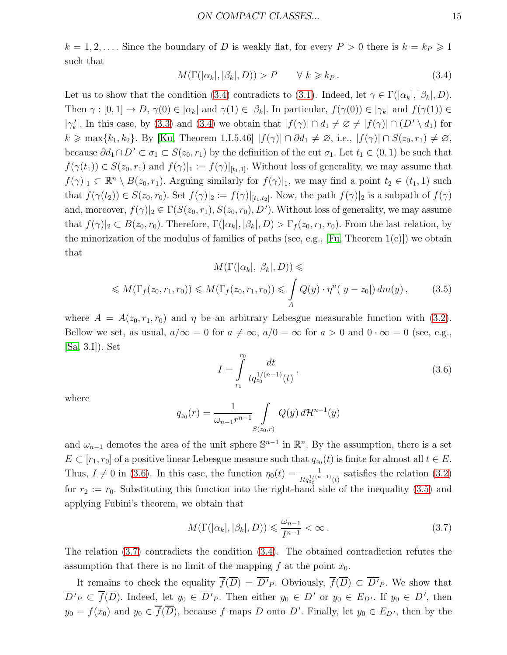$k = 1, 2, \ldots$ . Since the boundary of D is weakly flat, for every  $P > 0$  there is  $k = k_P \geq 1$ such that

<span id="page-14-0"></span>
$$
M(\Gamma(|\alpha_k|, |\beta_k|, D)) > P \qquad \forall \ k \geq k_P. \tag{3.4}
$$

Let us to show that the condition [\(3.4\)](#page-14-0) contradicts to [\(3.1\)](#page-12-0). Indeed, let  $\gamma \in \Gamma(|\alpha_k|, |\beta_k|, D)$ . Then  $\gamma : [0,1] \to D$ ,  $\gamma(0) \in |\alpha_k|$  and  $\gamma(1) \in |\beta_k|$ . In particular,  $f(\gamma(0)) \in |\gamma_k|$  and  $f(\gamma(1)) \in$  $|\gamma'_k|$ . In this case, by [\(3.3\)](#page-13-1) and [\(3.4\)](#page-14-0) we obtain that  $|f(\gamma)| \cap d_1 \neq \emptyset \neq |f(\gamma)| \cap (D' \setminus d_1)$  for  $k \ge \max\{k_1, k_2\}$ . By [\[Ku,](#page-29-11) Theorem 1.I.5.46]  $|f(\gamma)| \cap \partial d_1 \ne \emptyset$ , i.e.,  $|f(\gamma)| \cap S(z_0, r_1) \ne \emptyset$ , because  $\partial d_1 \cap D' \subset \sigma_1 \subset S(z_0, r_1)$  by the definition of the cut  $\sigma_1$ . Let  $t_1 \in (0, 1)$  be such that  $f(\gamma(t_1)) \in S(z_0, r_1)$  and  $f(\gamma)|_1 := f(\gamma)|_{[t_1,1]}$ . Without loss of generality, we may assume that  $f(\gamma)|_1 \subset \mathbb{R}^n \setminus B(z_0, r_1)$ . Arguing similarly for  $f(\gamma)|_1$ , we may find a point  $t_2 \in (t_1, 1)$  such that  $f(\gamma(t_2)) \in S(z_0, r_0)$ . Set  $f(\gamma)|_2 := f(\gamma)|_{[t_1,t_2]}$ . Now, the path  $f(\gamma)|_2$  is a subpath of  $f(\gamma)$ and, moreover,  $f(\gamma)|_2 \in \Gamma(S(z_0, r_1), S(z_0, r_0), D')$ . Without loss of generality, we may assume that  $f(\gamma)|_2 \subset B(z_0, r_0)$ . Therefore,  $\Gamma(|\alpha_k|, |\beta_k|, D) > \Gamma_f(z_0, r_1, r_0)$ . From the last relation, by the minorization of the modulus of families of paths (see, e.g., [\[Fu,](#page-28-6) Theorem  $1(c)$ ]) we obtain that

<span id="page-14-2"></span>
$$
M(\Gamma(|\alpha_k|, |\beta_k|, D)) \le
$$
  

$$
\leq M(\Gamma_f(z_0, r_1, r_0)) \leq M(\Gamma_f(z_0, r_1, r_0)) \leq \int_A Q(y) \cdot \eta^n(|y - z_0|) dm(y),
$$
 (3.5)

where  $A = A(z_0, r_1, r_0)$  and  $\eta$  be an arbitrary Lebesgue measurable function with [\(3.2\)](#page-12-2). Bellow we set, as usual,  $a/\infty = 0$  for  $a \neq \infty$ ,  $a/0 = \infty$  for  $a > 0$  and  $0 \cdot \infty = 0$  (see, e.g., [\[Sa,](#page-29-12) 3.I]). Set

<span id="page-14-1"></span>
$$
I = \int_{r_1}^{r_0} \frac{dt}{t q_{z_0}^{1/(n-1)}(t)},
$$
\n(3.6)

where

$$
q_{z_0}(r) = \frac{1}{\omega_{n-1}r^{n-1}} \int_{S(z_0,r)} Q(y) d\mathcal{H}^{n-1}(y)
$$

and  $\omega_{n-1}$  demotes the area of the unit sphere  $\mathbb{S}^{n-1}$  in  $\mathbb{R}^n$ . By the assumption, there is a set  $E \subset [r_1, r_0]$  of a positive linear Lebesgue measure such that  $q_{z_0}(t)$  is finite for almost all  $t \in E$ . Thus,  $I \neq 0$  in [\(3.6\)](#page-14-1). In this case, the function  $\eta_0(t) = \frac{1}{Itq_{z_0}^{1/(n-1)}(t)}$  satisfies the relation [\(3.2\)](#page-12-2) for  $r_2 := r_0$ . Substituting this function into the right-hand side of the inequality [\(3.5\)](#page-14-2) and applying Fubini's theorem, we obtain that

<span id="page-14-3"></span>
$$
M(\Gamma(|\alpha_k|, |\beta_k|, D)) \leq \frac{\omega_{n-1}}{I^{n-1}} < \infty. \tag{3.7}
$$

The relation [\(3.7\)](#page-14-3) contradicts the condition [\(3.4\)](#page-14-0). The obtained contradiction refutes the assumption that there is no limit of the mapping f at the point  $x_0$ .

It remains to check the equality  $f(\overline{D}) = \overline{D'}_P$ . Obviously,  $f(\overline{D}) \subset \overline{D'}_P$ . We show that  $\overline{D'}_P \subset \overline{f}(\overline{D})$ . Indeed, let  $y_0 \in \overline{D'}_P$ . Then either  $y_0 \in D'$  or  $y_0 \in E_{D'}$ . If  $y_0 \in D'$ , then  $y_0 = f(x_0)$  and  $y_0 \in \overline{f}(\overline{D})$ , because f maps D onto D'. Finally, let  $y_0 \in E_{D'}$ , then by the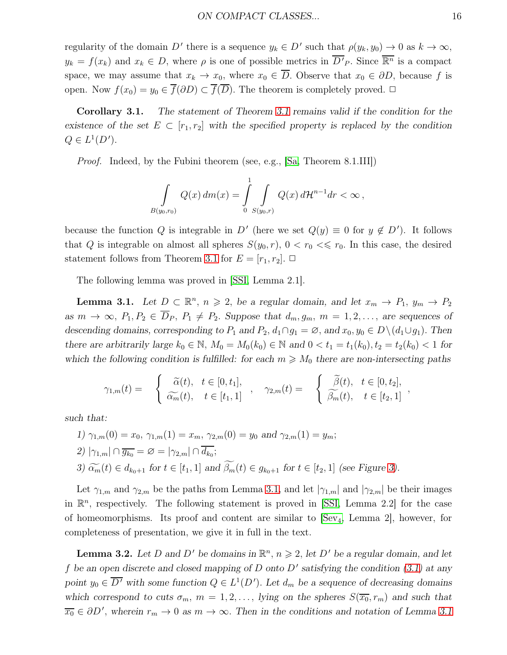regularity of the domain D' there is a sequence  $y_k \in D'$  such that  $\rho(y_k, y_0) \to 0$  as  $k \to \infty$ ,  $y_k = f(x_k)$  and  $x_k \in D$ , where  $\rho$  is one of possible metrics in  $\overline{D'}_P$ . Since  $\overline{\mathbb{R}^n}$  is a compact space, we may assume that  $x_k \to x_0$ , where  $x_0 \in \overline{D}$ . Observe that  $x_0 \in \partial D$ , because f is open. Now  $f(x_0) = y_0 \in \overline{f}(\partial D) \subset \overline{f}(\overline{D})$ . The theorem is completely proved.  $\Box$ 

<span id="page-15-2"></span>Corollary 3.1. *The statement of Theorem [3.1](#page-12-1) remains valid if the condition for the existence of the set*  $E \subset [r_1, r_2]$  *with the specified property is replaced by the condition*  $Q \in L^1(D').$ 

Proof. Indeed, by the Fubini theorem (see, e.g., [\[Sa,](#page-29-12) Theorem 8.1.III])

$$
\int_{B(y_0,r_0)} Q(x) dm(x) = \int_{0}^{1} \int_{S(y_0,r)} Q(x) d\mathcal{H}^{n-1} dr < \infty,
$$

because the function Q is integrable in D' (here we set  $Q(y) \equiv 0$  for  $y \notin D'$ ). It follows that Q is integrable on almost all spheres  $S(y_0, r)$ ,  $0 < r_0 < \leq r_0$ . In this case, the desired statement follows from Theorem [3.1](#page-12-1) for  $E = [r_1, r_2]$ .  $\Box$ 

<span id="page-15-0"></span>The following lemma was proved in [\[SSI,](#page-30-1) Lemma 2.1].

**Lemma 3.1.** Let  $D \subset \mathbb{R}^n$ ,  $n \ge 2$ , be a regular domain, and let  $x_m \to P_1$ ,  $y_m \to P_2$ *as*  $m \to \infty$ ,  $P_1, P_2 \in \overline{D}_P$ ,  $P_1 \neq P_2$ . *Suppose that*  $d_m, g_m, m = 1, 2, \ldots$ , *are sequences of descending domains, corresponding to*  $P_1$  *and*  $P_2$ ,  $d_1 \cap g_1 = \emptyset$ , *and*  $x_0, y_0 \in D \setminus (d_1 \cup g_1)$ . *Then there are arbitrarily large*  $k_0 \in \mathbb{N}$ ,  $M_0 = M_0(k_0) \in \mathbb{N}$  and  $0 < t_1 = t_1(k_0), t_2 = t_2(k_0) < 1$  for *which the following condition is fulfilled: for each*  $m \geq M_0$  *there are non-intersecting paths* 

$$
\gamma_{1,m}(t) = \begin{cases} \widetilde{\alpha}(t), & t \in [0, t_1], \\ \widetilde{\alpha_m}(t), & t \in [t_1, 1] \end{cases}, \quad \gamma_{2,m}(t) = \begin{cases} \widetilde{\beta}(t), & t \in [0, t_2], \\ \widetilde{\beta_m}(t), & t \in [t_2, 1] \end{cases}
$$

*such that:*

*1*)  $\gamma_{1,m}(0) = x_0$ ,  $\gamma_{1,m}(1) = x_m$ ,  $\gamma_{2,m}(0) = y_0$  *and*  $\gamma_{2,m}(1) = y_m$ ; 2)  $|\gamma_{1,m}| \cap \overline{g_{k_0}} = \varnothing = |\gamma_{2,m}| \cap \overline{d_{k_0}};$ *3)*  $\widetilde{\alpha_m}(t) \in d_{k_0+1}$  for  $t \in [t_1, 1]$  and  $\widetilde{\beta_m}(t) \in g_{k_0+1}$  for  $t \in [t_2, 1]$  (see Figure [3\)](#page-16-0).

Let  $\gamma_{1,m}$  and  $\gamma_{2,m}$  be the paths from Lemma [3.1,](#page-15-0) and let  $|\gamma_{1,m}|$  and  $|\gamma_{2,m}|$  be their images in  $\mathbb{R}^n$ , respectively. The following statement is proved in [\[SSI,](#page-30-1) Lemma 2.2] for the case of homeomorphisms. Its proof and content are similar to [\[Sev](#page-30-8)4, Lemma 2], however, for completeness of presentation, we give it in full in the text.

<span id="page-15-1"></span>**Lemma 3.2.** Let D and D' be domains in  $\mathbb{R}^n$ ,  $n \geq 2$ , let D' be a regular domain, and let f be an open discrete and closed mapping of D onto D' satisfying the condition  $(3.1)$  at any point  $y_0 \in \overline{D'}$  with some function  $Q \in L^1(D')$ . Let  $d_m$  be a sequence of decreasing domains *which correspond to cuts*  $\sigma_m$ ,  $m = 1, 2, \ldots$ , *lying on the spheres*  $S(\overline{x_0}, r_m)$  *and such that*  $\overline{x_0} \in \partial D'$ , wherein  $r_m \to 0$  as  $m \to \infty$ . Then in the conditions and notation of Lemma [3.1](#page-15-0)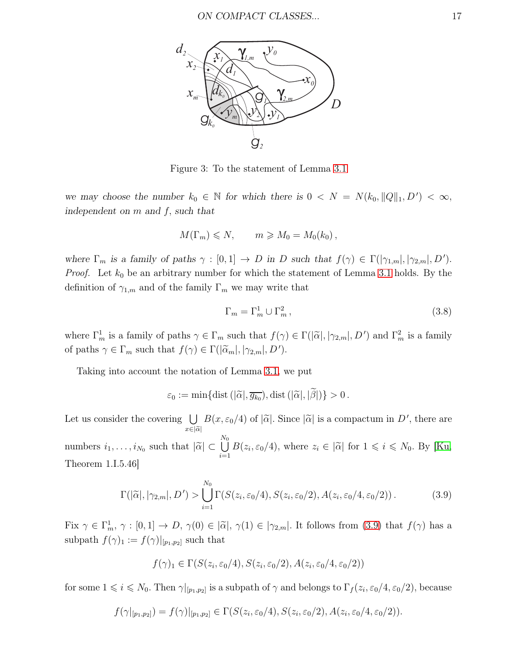

<span id="page-16-0"></span>Figure 3: To the statement of Lemma [3.1](#page-15-0)

*we may choose the number*  $k_0 \in \mathbb{N}$  *for which there is*  $0 \lt N = N(k_0, ||Q||_1, D') \lt \infty$ , *independent on* m *and* f, *such that*

$$
M(\Gamma_m) \leqslant N, \qquad m \geqslant M_0 = M_0(k_0),
$$

*where*  $\Gamma_m$  *is a family of paths*  $\gamma : [0,1] \to D$  *in* D *such that*  $f(\gamma) \in \Gamma(|\gamma_{1,m}|, |\gamma_{2,m}|, D')$ . *Proof.* Let  $k_0$  be an arbitrary number for which the statement of Lemma [3.1](#page-15-0) holds. By the definition of  $\gamma_{1,m}$  and of the family  $\Gamma_m$  we may write that

<span id="page-16-2"></span>
$$
\Gamma_m = \Gamma_m^1 \cup \Gamma_m^2, \qquad (3.8)
$$

where  $\Gamma_m^1$  is a family of paths  $\gamma \in \Gamma_m$  such that  $f(\gamma) \in \Gamma(|\tilde{\alpha}|, |\gamma_{2,m}|, D')$  and  $\Gamma_m^2$  is a family of paths  $\gamma \in \Gamma_m$  such that  $f(\gamma) \in \Gamma(|\widetilde{\alpha}_m|, |\gamma_{2,m}|, D').$ 

Taking into account the notation of Lemma [3.1,](#page-15-0) we put

$$
\varepsilon_0 := \min\{\text{dist}\left(|\widetilde{\alpha}|,\overline{g_{k_0}}\right),\text{dist}\left(|\widetilde{\alpha}|,|\beta|\right)\} > 0.
$$

Let us consider the covering  $\bigcup_{x \in |\tilde{\alpha}|} B(x, \varepsilon_0/4)$  of  $|\tilde{\alpha}|$ . Since  $|\tilde{\alpha}|$  is a compactum in D', there are  $x\bar{\in}|\widetilde{\alpha}|$ numbers  $i_1, \ldots, i_{N_0}$  such that  $|\widetilde{\alpha}| \subset$  $\bigcup_{i=1}^{N_0}$  $\frac{i=1}{i}$  $B(z_i, \varepsilon_0/4)$ , where  $z_i \in |\tilde{\alpha}|$  for  $1 \leq i \leq N_0$ . By [\[Ku,](#page-29-11) Theorem 1.I.5.46]

<span id="page-16-1"></span>
$$
\Gamma(|\widetilde{\alpha}|, |\gamma_{2,m}|, D') > \bigcup_{i=1}^{N_0} \Gamma(S(z_i, \varepsilon_0/4), S(z_i, \varepsilon_0/2), A(z_i, \varepsilon_0/4, \varepsilon_0/2)).
$$
\n(3.9)

Fix  $\gamma \in \Gamma_m^1$ ,  $\gamma : [0,1] \to D$ ,  $\gamma(0) \in |\tilde{\alpha}|$ ,  $\gamma(1) \in |\gamma_{2,m}|$ . It follows from [\(3.9\)](#page-16-1) that  $f(\gamma)$  has a subpath  $f(\gamma)_1 := f(\gamma)|_{[p_1,p_2]}$  such that

$$
f(\gamma)_1 \in \Gamma(S(z_i, \varepsilon_0/4), S(z_i, \varepsilon_0/2), A(z_i, \varepsilon_0/4, \varepsilon_0/2))
$$

for some  $1 \leq i \leq N_0$ . Then  $\gamma|_{[p_1,p_2]}$  is a subpath of  $\gamma$  and belongs to  $\Gamma_f(z_i,\varepsilon_0/4,\varepsilon_0/2)$ , because

$$
f(\gamma|_{[p_1,p_2]}) = f(\gamma)|_{[p_1,p_2]} \in \Gamma(S(z_i,\varepsilon_0/4), S(z_i,\varepsilon_0/2), A(z_i,\varepsilon_0/4,\varepsilon_0/2)).
$$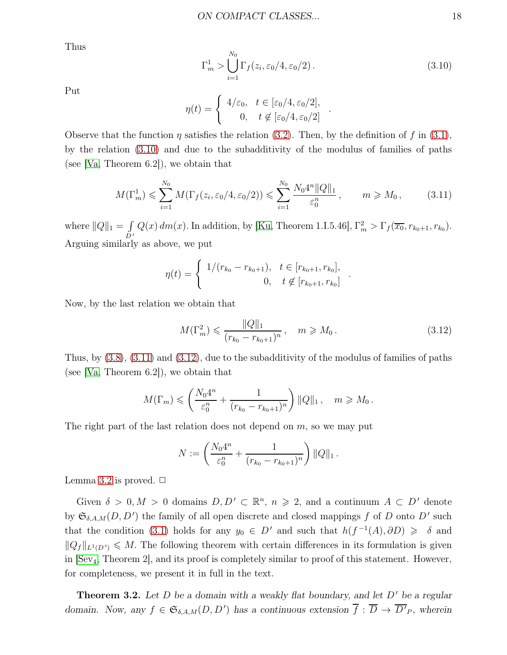Thus

<span id="page-17-0"></span>
$$
\Gamma_m^1 > \bigcup_{i=1}^{N_0} \Gamma_f(z_i, \varepsilon_0/4, \varepsilon_0/2). \tag{3.10}
$$

.

Put

$$
\eta(t) = \begin{cases} 4/\varepsilon_0, & t \in [\varepsilon_0/4, \varepsilon_0/2], \\ 0, & t \notin [\varepsilon_0/4, \varepsilon_0/2] \end{cases}
$$

Observe that the function  $\eta$  satisfies the relation [\(3.2\)](#page-12-2). Then, by the definition of f in [\(3.1\)](#page-12-0), by the relation [\(3.10\)](#page-17-0) and due to the subadditivity of the modulus of families of paths (see [\[Va,](#page-30-2) Theorem 6.2]), we obtain that

<span id="page-17-1"></span>
$$
M(\Gamma_m^1) \leq \sum_{i=1}^{N_0} M(\Gamma_f(z_i, \varepsilon_0/4, \varepsilon_0/2)) \leq \sum_{i=1}^{N_0} \frac{N_0 4^n ||Q||_1}{\varepsilon_0^n}, \qquad m \geq M_0, \qquad (3.11)
$$

where  $||Q||_1 = \int$  $\check{D}$   $^\prime$  $Q(x) dm(x)$ . In addition, by [\[Ku,](#page-29-11) Theorem 1.I.5.46],  $\Gamma_m^2 > \Gamma_f(\overline{x_0}, r_{k_0+1}, r_{k_0})$ . Arguing similarly as above, we put

$$
\eta(t) = \begin{cases} 1/(r_{k_0} - r_{k_0+1}), & t \in [r_{k_0+1}, r_{k_0}], \\ 0, & t \notin [r_{k_0+1}, r_{k_0}] \end{cases}
$$

Now, by the last relation we obtain that

<span id="page-17-2"></span>
$$
M(\Gamma_m^2) \leq \frac{\|Q\|_1}{(r_{k_0} - r_{k_0+1})^n}, \quad m \geq M_0.
$$
 (3.12)

.

Thus, by [\(3.8\)](#page-16-2), [\(3.11\)](#page-17-1) and [\(3.12\)](#page-17-2), due to the subadditivity of the modulus of families of paths (see [\[Va,](#page-30-2) Theorem 6.2]), we obtain that

$$
M(\Gamma_m) \leqslant \left(\frac{N_0 4^n}{\varepsilon_0^n} + \frac{1}{(r_{k_0} - r_{k_0+1})^n}\right) ||Q||_1, \quad m \geqslant M_0.
$$

The right part of the last relation does not depend on  $m$ , so we may put

$$
N := \left(\frac{N_0 4^n}{\varepsilon_0^n} + \frac{1}{(r_{k_0} - r_{k_0+1})^n}\right) ||Q||_1.
$$

Lemma [3.2](#page-15-1) is proved.  $\Box$ 

Given  $\delta > 0, M > 0$  domains  $D, D' \subset \mathbb{R}^n, n \geq 2$ , and a continuum  $A \subset D'$  denote by  $\mathfrak{S}_{\delta,A,M}(D, D')$  the family of all open discrete and closed mappings f of D onto D' such that the condition [\(3.1\)](#page-12-0) holds for any  $y_0 \in D'$  and such that  $h(f^{-1}(A), \partial D) \geq \delta$  and  $||Q_f||_{L^1(D')} \leq M$ . The following theorem with certain differences in its formulation is given in  $\left|\text{Sev}_4\right|$ , Theorem 2, and its proof is completely similar to proof of this statement. However, for completeness, we present it in full in the text.

<span id="page-17-3"></span>**Theorem 3.2.** Let D be a domain with a weakly flat boundary, and let D' be a regular *domain. Now, any*  $f \in \mathfrak{S}_{\delta,A,M}(D, D')$  *has a continuous extension*  $\overline{f} : \overline{D} \to \overline{D'}_P$ *, wherein*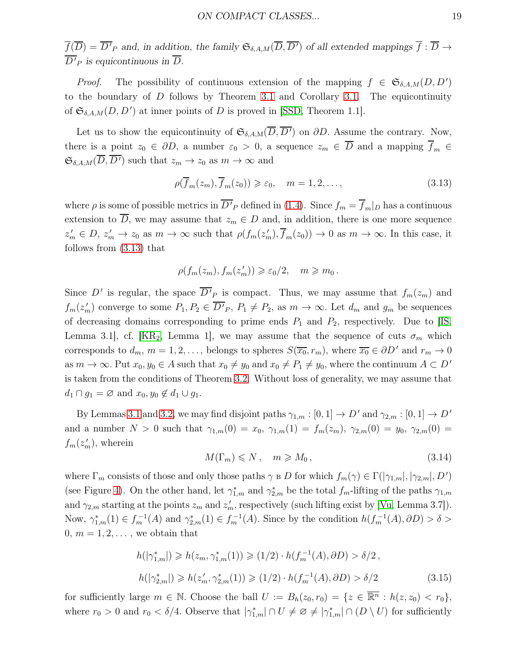$\overline{f}(\overline{D}) = \overline{D'}_P$  and, in addition, the family  $\mathfrak{S}_{\delta, A, M}(\overline{D}, \overline{D'})$  of all extended mappings  $\overline{f} : \overline{D} \to$ D ′ <sup>P</sup> *is equicontinuous in* D.

*Proof.* The possibility of continuous extension of the mapping  $f \in \mathfrak{S}_{\delta, A, M}(D, D')$ to the boundary of D follows by Theorem [3.1](#page-12-1) and Corollary [3.1.](#page-15-2) The equicontinuity of  $\mathfrak{S}_{\delta,A,M}(D,D')$  at inner points of D is proved in [\[SSD,](#page-30-6) Theorem 1.1].

Let us to show the equicontinuity of  $\mathfrak{S}_{\delta,A,M}(\overline{D},\overline{D'})$  on  $\partial D$ . Assume the contrary. Now, there is a point  $z_0 \in \partial D$ , a number  $\varepsilon_0 > 0$ , a sequence  $z_m \in \overline{D}$  and a mapping  $\overline{f}_m \in$  $\mathfrak{S}_{\delta,A,M}(\overline{D},\overline{D'})$  such that  $z_m \to z_0$  as  $m \to \infty$  and

<span id="page-18-0"></span>
$$
\rho(\overline{f}_m(z_m), \overline{f}_m(z_0)) \ge \varepsilon_0, \quad m = 1, 2, \dots,
$$
\n(3.13)

where  $\rho$  is some of possible metrics in  $\overline{D'}_P$  defined in [\(1.4\)](#page-2-2). Since  $f_m = f_m|_D$  has a continuous extension to  $\overline{D}$ , we may assume that  $z_m \in D$  and, in addition, there is one more sequence  $z'_m \in D$ ,  $z'_m \to z_0$  as  $m \to \infty$  such that  $\rho(f_m(z'_m), \overline{f}_m(z_0)) \to 0$  as  $m \to \infty$ . In this case, it follows from [\(3.13\)](#page-18-0) that

$$
\rho(f_m(z_m), f_m(z'_m)) \geqslant \varepsilon_0/2, \quad m \geqslant m_0.
$$

Since D' is regular, the space  $\overline{D'}_P$  is compact. Thus, we may assume that  $f_m(z_m)$  and  $f_m(z'_m)$  converge to some  $P_1, P_2 \in \overline{D'}_P$ ,  $P_1 \neq P_2$ , as  $m \to \infty$ . Let  $d_m$  and  $g_m$  be sequences of decreasing domains corresponding to prime ends  $P_1$  and  $P_2$ , respectively. Due to [\[IS,](#page-28-2) Lemma 3.1, cf. [\[KR](#page-28-1)<sub>2</sub>, Lemma 1], we may assume that the sequence of cuts  $\sigma_m$  which corresponds to  $d_m$ ,  $m = 1, 2, \ldots$ , belongs to spheres  $S(\overline{x_0}, r_m)$ , where  $\overline{x_0} \in \partial D'$  and  $r_m \to 0$ as  $m \to \infty$ . Put  $x_0, y_0 \in A$  such that  $x_0 \neq y_0$  and  $x_0 \neq P_1 \neq y_0$ , where the continuum  $A \subset D'$ is taken from the conditions of Theorem [3.2.](#page-17-3) Without loss of generality, we may assume that  $d_1 \cap q_1 = \varnothing$  and  $x_0, y_0 \notin d_1 \cup q_1$ .

By Lemmas [3.1](#page-15-0) and [3.2,](#page-15-1) we may find disjoint paths  $\gamma_{1,m} : [0,1] \to D'$  and  $\gamma_{2,m} : [0,1] \to D'$ and a number  $N > 0$  such that  $\gamma_{1,m}(0) = x_0, \gamma_{1,m}(1) = f_m(z_m), \gamma_{2,m}(0) = y_0, \gamma_{2,m}(0) = y_0$  $f_m(z'_m)$ , wherein

<span id="page-18-1"></span>
$$
M(\Gamma_m) \leqslant N \,, \quad m \geqslant M_0 \,, \tag{3.14}
$$

where  $\Gamma_m$  consists of those and only those paths  $\gamma$  в D for which  $f_m(\gamma) \in \Gamma(|\gamma_{1,m}|, |\gamma_{2,m}|, D')$ (see Figure [4\)](#page-19-0). On the other hand, let  $\gamma_{1,m}^*$  and  $\gamma_{2,m}^*$  be the total  $f_m$ -lifting of the paths  $\gamma_{1,m}$ and  $\gamma_{2,m}$  starting at the points  $z_m$  and  $z'_m$ , respectively (such lifting exist by [\[Vu,](#page-30-7) Lemma 3.7]). Now,  $\gamma_{1,m}^*(1) \in f_m^{-1}(A)$  and  $\gamma_{2,m}^*(1) \in f_m^{-1}(A)$ . Since by the condition  $h(f_m^{-1}(A), \partial D) > \delta >$  $0, m = 1, 2, \ldots$ , we obtain that

<span id="page-18-2"></span>
$$
h(|\gamma_{1,m}^*|) \geq h(z_m, \gamma_{1,m}^*(1)) \geq (1/2) \cdot h(f_m^{-1}(A), \partial D) > \delta/2,
$$
  

$$
h(|\gamma_{2,m}^*|) \geq h(z'_m, \gamma_{2,m}^*(1)) \geq (1/2) \cdot h(f_m^{-1}(A), \partial D) > \delta/2
$$
 (3.15)

for sufficiently large  $m \in \mathbb{N}$ . Choose the ball  $U := B_h(z_0, r_0) = \{z \in \overline{\mathbb{R}^n} : h(z, z_0) < r_0\},\$ where  $r_0 > 0$  and  $r_0 < \delta/4$ . Observe that  $|\gamma^*_{1,m}| \cap U \neq \emptyset \neq |\gamma^*_{1,m}| \cap (D \setminus U)$  for sufficiently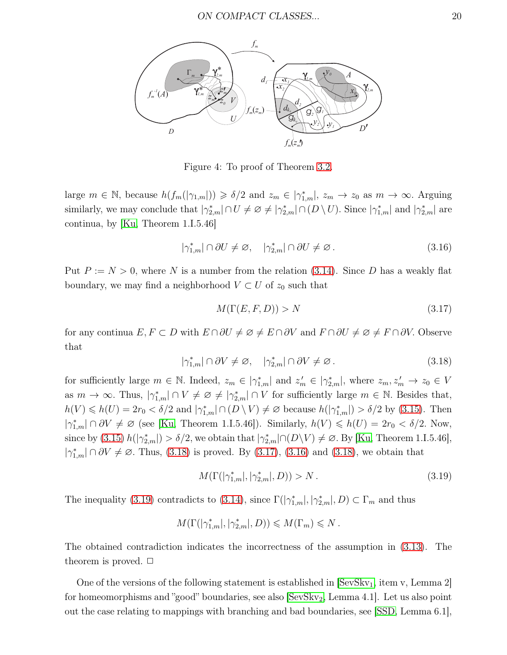

<span id="page-19-0"></span>Figure 4: To proof of Theorem [3.2.](#page-17-3)

large  $m \in \mathbb{N}$ , because  $h(f_m(|\gamma_{1,m}|)) \geq \delta/2$  and  $z_m \in |\gamma_{1,m}^*|$ ,  $z_m \to z_0$  as  $m \to \infty$ . Arguing similarly, we may conclude that  $|\gamma^*_{2,m}| \cap U \neq \emptyset \neq |\gamma^*_{2,m}| \cap (D \setminus U)$ . Since  $|\gamma^*_{1,m}|$  and  $|\gamma^*_{2,m}|$  are continua, by [\[Ku,](#page-29-11) Theorem 1.I.5.46]

<span id="page-19-3"></span>
$$
|\gamma_{1,m}^*| \cap \partial U \neq \varnothing, \quad |\gamma_{2,m}^*| \cap \partial U \neq \varnothing. \tag{3.16}
$$

Put  $P := N > 0$ , where N is a number from the relation [\(3.14\)](#page-18-1). Since D has a weakly flat boundary, we may find a neighborhood  $V \subset U$  of  $z_0$  such that

<span id="page-19-2"></span>
$$
M(\Gamma(E, F, D)) > N \tag{3.17}
$$

for any continua  $E, F \subset D$  with  $E \cap \partial U \neq \emptyset \neq E \cap \partial V$  and  $F \cap \partial U \neq \emptyset \neq F \cap \partial V$ . Observe that

<span id="page-19-1"></span>
$$
|\gamma_{1,m}^*| \cap \partial V \neq \varnothing, \quad |\gamma_{2,m}^*| \cap \partial V \neq \varnothing. \tag{3.18}
$$

for sufficiently large  $m \in \mathbb{N}$ . Indeed,  $z_m \in |\gamma^*_{1,m}|$  and  $z'_m \in |\gamma^*_{2,m}|$ , where  $z_m, z'_m \to z_0 \in V$ as  $m \to \infty$ . Thus,  $|\gamma^*_{1,m}| \cap V \neq \emptyset \neq |\gamma^*_{2,m}| \cap V$  for sufficiently large  $m \in \mathbb{N}$ . Besides that,  $h(V) \leq h(U) = 2r_0 < \delta/2$  and  $|\gamma^*_{1,m}| \cap (D \setminus V) \neq \emptyset$  because  $h(|\gamma^*_{1,m}|) > \delta/2$  by [\(3.15\)](#page-18-2). Then  $|\gamma^*_{1,m}| \cap \partial V \neq \emptyset$  (see [\[Ku,](#page-29-11) Theorem 1.I.5.46]). Similarly,  $h(V) \leq h(U) = 2r_0 < \delta/2$ . Now, since by [\(3.15\)](#page-18-2)  $h(|\gamma_{2,m}^*|) > \delta/2$ , we obtain that  $|\gamma_{2,m}^*| \cap (D \setminus V) \neq \emptyset$ . By [\[Ku,](#page-29-11) Theorem 1.I.5.46],  $|\gamma^*_{1,m}| \cap \partial V \neq \emptyset$ . Thus, [\(3.18\)](#page-19-1) is proved. By [\(3.17\)](#page-19-2), [\(3.16\)](#page-19-3) and (3.18), we obtain that

<span id="page-19-4"></span>
$$
M(\Gamma(|\gamma^*_{1,m}|,|\gamma^*_{2,m}|,D)) > N. \tag{3.19}
$$

The inequality [\(3.19\)](#page-19-4) contradicts to [\(3.14\)](#page-18-1), since  $\Gamma(|\gamma^*_{1,m}|, |\gamma^*_{2,m}|, D) \subset \Gamma_m$  and thus

$$
M(\Gamma(|\gamma^*_{1,m}|,|\gamma^*_{2,m}|,D))\leqslant M(\Gamma_m)\leqslant N\,.
$$

The obtained contradiction indicates the incorrectness of the assumption in [\(3.13\)](#page-18-0). The theorem is proved.  $\Box$ 

One of the versions of the following statement is established in  $\left[{\rm SevSkv}_1, {\rm item} \, {\rm v}, {\rm Lemma 2}\right]$ for homeomorphisms and "good" boundaries, see also  $\left[{\rm SevSkv}_2, {\rm Lemma 4.1}\right]$ . Let us also point out the case relating to mappings with branching and bad boundaries, see [\[SSD,](#page-30-6) Lemma 6.1],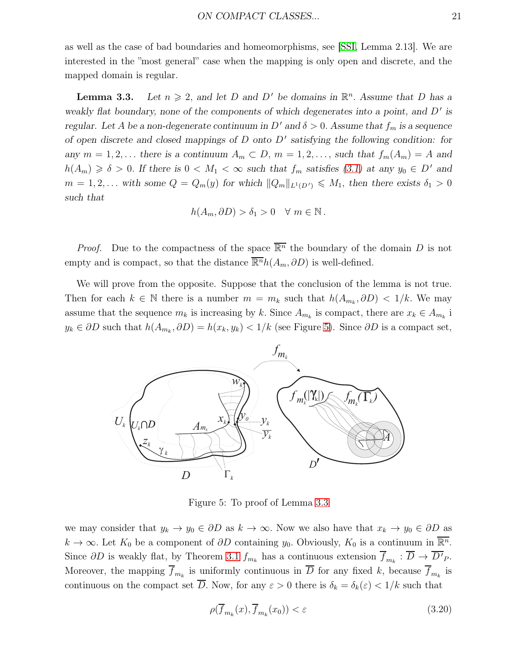as well as the case of bad boundaries and homeomorphisms, see [\[SSI,](#page-30-1) Lemma 2.13]. We are interested in the "most general" case when the mapping is only open and discrete, and the mapped domain is regular.

<span id="page-20-1"></span>**Lemma 3.3.** Let  $n \geq 2$ , and let D and D' be domains in  $\mathbb{R}^n$ . Assume that D has a *weakly flat boundary, none of the components of which degenerates into a point, and D'* is *regular.* Let A be a non-degenerate continuum in D' and  $\delta > 0$ . Assume that  $f_m$  is a sequence *of open discrete and closed mappings of* D *onto* D ′ *satisfying the following condition: for any*  $m = 1, 2, \ldots$  *there is a continuum*  $A_m \subset D$ ,  $m = 1, 2, \ldots$ , *such that*  $f_m(A_m) = A$  *and*  $h(A_m) \geq \delta > 0$ . If there is  $0 < M_1 < \infty$  such that  $f_m$  satisfies [\(3.1\)](#page-12-0) at any  $y_0 \in D'$  and  $m = 1, 2, \ldots$  with some  $Q = Q_m(y)$  for which  $||Q_m||_{L^1(D')} \le M_1$ , then there exists  $\delta_1 > 0$ *such that*

$$
h(A_m, \partial D) > \delta_1 > 0 \quad \forall \ m \in \mathbb{N}.
$$

*Proof.* Due to the compactness of the space  $\overline{\mathbb{R}^n}$  the boundary of the domain D is not empty and is compact, so that the distance  $\overline{\mathbb{R}^n}h(A_m, \partial D)$  is well-defined.

We will prove from the opposite. Suppose that the conclusion of the lemma is not true. Then for each  $k \in \mathbb{N}$  there is a number  $m = m_k$  such that  $h(A_{m_k}, \partial D) < 1/k$ . We may assume that the sequence  $m_k$  is increasing by k. Since  $A_{m_k}$  is compact, there are  $x_k \in A_{m_k}$  i  $y_k \in \partial D$  such that  $h(A_{m_k}, \partial D) = h(x_k, y_k) < 1/k$  (see Figure [5\)](#page-20-0). Since  $\partial D$  is a compact set,



<span id="page-20-0"></span>Figure 5: To proof of Lemma [3.3](#page-20-1)

we may consider that  $y_k \to y_0 \in \partial D$  as  $k \to \infty$ . Now we also have that  $x_k \to y_0 \in \partial D$  as  $k \to \infty$ . Let  $K_0$  be a component of  $\partial D$  containing  $y_0$ . Obviously,  $K_0$  is a continuum in  $\overline{\mathbb{R}^n}$ . Since  $\partial D$  is weakly flat, by Theorem [3.1](#page-12-1)  $f_{m_k}$  has a continuous extension  $f_{m_k} : \overline{D} \to \overline{D'}_P$ . Moreover, the mapping  $f_{m_k}$  is uniformly continuous in D for any fixed k, because  $f_{m_k}$  is continuous on the compact set  $\overline{D}$ . Now, for any  $\varepsilon > 0$  there is  $\delta_k = \delta_k(\varepsilon) < 1/k$  such that

<span id="page-20-2"></span>
$$
\rho(\overline{f}_{m_k}(x), \overline{f}_{m_k}(x_0)) < \varepsilon \tag{3.20}
$$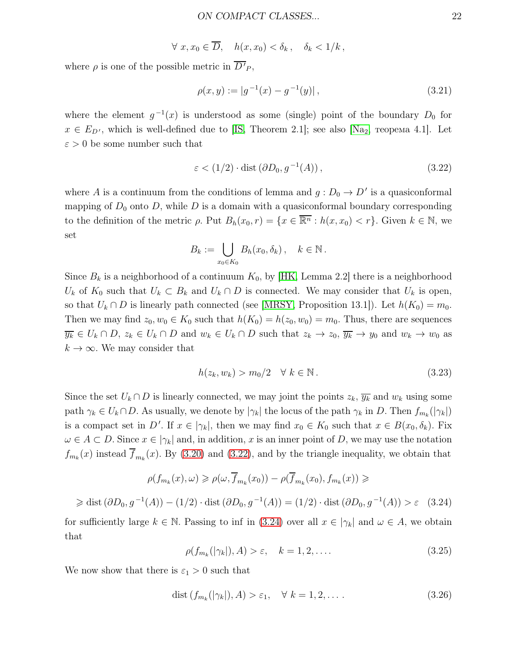$\forall x, x_0 \in \overline{D}$ ,  $h(x, x_0) < \delta_k$ ,  $\delta_k < 1/k$ ,

where  $\rho$  is one of the possible metric in  $D'_{P}$ ,

<span id="page-21-3"></span>
$$
\rho(x, y) := |g^{-1}(x) - g^{-1}(y)|,\tag{3.21}
$$

where the element  $g^{-1}(x)$  is understood as some (single) point of the boundary  $D_0$  for  $x \in E_{D'}$ , which is well-defined due to [\[IS,](#page-28-2) Theorem 2.1]; see also [\[Na](#page-29-1)<sub>2</sub>, теорема 4.1]. Let  $\varepsilon > 0$  be some number such that

<span id="page-21-0"></span>
$$
\varepsilon < (1/2) \cdot \text{dist}\left(\partial D_0, g^{-1}(A)\right),\tag{3.22}
$$

where A is a continuum from the conditions of lemma and  $g: D_0 \to D'$  is a quasiconformal mapping of  $D_0$  onto  $D$ , while  $D$  is a domain with a quasiconformal boundary corresponding to the definition of the metric  $\rho$ . Put  $B_h(x_0, r) = \{x \in \overline{\mathbb{R}^n} : h(x, x_0) < r\}$ . Given  $k \in \mathbb{N}$ , we set

$$
B_k := \bigcup_{x_0 \in K_0} B_h(x_0, \delta_k), \quad k \in \mathbb{N}.
$$

Since  $B_k$  is a neighborhood of a continuum  $K_0$ , by [\[HK,](#page-28-7) Lemma 2.2] there is a neighborhood  $U_k$  of  $K_0$  such that  $U_k \subset B_k$  and  $U_k \cap D$  is connected. We may consider that  $U_k$  is open, so that  $U_k \cap D$  is linearly path connected (see [\[MRSY,](#page-29-3) Proposition 13.1]). Let  $h(K_0) = m_0$ . Then we may find  $z_0, w_0 \in K_0$  such that  $h(K_0) = h(z_0, w_0) = m_0$ . Thus, there are sequences  $\overline{y_k} \in U_k \cap D$ ,  $z_k \in U_k \cap D$  and  $w_k \in U_k \cap D$  such that  $z_k \to z_0$ ,  $\overline{y_k} \to y_0$  and  $w_k \to w_0$  as  $k \to \infty$ . We may consider that

<span id="page-21-5"></span>
$$
h(z_k, w_k) > m_0/2 \quad \forall \ k \in \mathbb{N} \,. \tag{3.23}
$$

Since the set  $U_k \cap D$  is linearly connected, we may joint the points  $z_k$ ,  $\overline{y_k}$  and  $w_k$  using some path  $\gamma_k \in U_k \cap D$ . As usually, we denote by  $|\gamma_k|$  the locus of the path  $\gamma_k$  in D. Then  $f_{m_k}(|\gamma_k|)$ is a compact set in D'. If  $x \in |\gamma_k|$ , then we may find  $x_0 \in K_0$  such that  $x \in B(x_0, \delta_k)$ . Fix  $\omega \in A \subset D$ . Since  $x \in |\gamma_k|$  and, in addition, x is an inner point of D, we may use the notation  $f_{m_k}(x)$  instead  $f_{m_k}(x)$ . By [\(3.20\)](#page-20-2) and [\(3.22\)](#page-21-0), and by the triangle inequality, we obtain that

<span id="page-21-1"></span>
$$
\rho(f_{m_k}(x), \omega) \ge \rho(\omega, \overline{f}_{m_k}(x_0)) - \rho(\overline{f}_{m_k}(x_0), f_{m_k}(x)) \ge
$$
  

$$
\ge \text{dist}(\partial D_0, g^{-1}(A)) - (1/2) \cdot \text{dist}(\partial D_0, g^{-1}(A)) = (1/2) \cdot \text{dist}(\partial D_0, g^{-1}(A)) > \varepsilon \quad (3.24)
$$

for sufficiently large  $k \in \mathbb{N}$ . Passing to inf in [\(3.24\)](#page-21-1) over all  $x \in |\gamma_k|$  and  $\omega \in A$ , we obtain that

<span id="page-21-4"></span>
$$
\rho(f_{m_k}(|\gamma_k|), A) > \varepsilon, \quad k = 1, 2, \dots
$$
\n(3.25)

We now show that there is  $\varepsilon_1 > 0$  such that

<span id="page-21-2"></span>
$$
\text{dist}\left(f_{m_k}(|\gamma_k|), A\right) > \varepsilon_1, \quad \forall \ k = 1, 2, \dots \tag{3.26}
$$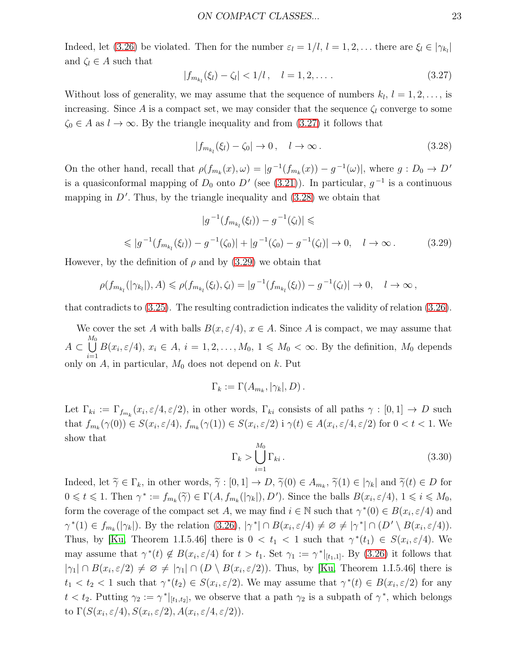Indeed, let [\(3.26\)](#page-21-2) be violated. Then for the number  $\varepsilon_l = 1/l$ ,  $l = 1, 2, \ldots$  there are  $\xi_l \in |\gamma_{k_l}|$ and  $\zeta_l \in A$  such that

<span id="page-22-0"></span>
$$
|f_{m_{k_l}}(\xi_l) - \zeta_l| < 1/l \,, \quad l = 1, 2, \dots \,. \tag{3.27}
$$

Without loss of generality, we may assume that the sequence of numbers  $k_l$ ,  $l = 1, 2, \ldots$ , is increasing. Since A is a compact set, we may consider that the sequence  $\zeta_l$  converge to some  $\zeta_0 \in A$  as  $l \to \infty$ . By the triangle inequality and from  $(3.27)$  it follows that

<span id="page-22-1"></span>
$$
|f_{m_{k_l}}(\xi_l) - \zeta_0| \to 0, \quad l \to \infty. \tag{3.28}
$$

On the other hand, recall that  $\rho(f_{m_k}(x), \omega) = |g^{-1}(f_{m_k}(x)) - g^{-1}(\omega)|$ , where  $g : D_0 \to D'$ is a quasiconformal mapping of  $D_0$  onto  $D'$  (see [\(3.21\)](#page-21-3)). In particular,  $g^{-1}$  is a continuous mapping in  $D'$ . Thus, by the triangle inequality and  $(3.28)$  we obtain that

$$
|g^{-1}(f_{m_{k_l}}(\xi_l)) - g^{-1}(\zeta_l)| \leq
$$

<span id="page-22-2"></span>
$$
\leqslant |g^{-1}(f_{m_{k_l}}(\xi_l)) - g^{-1}(\zeta_0)| + |g^{-1}(\zeta_0) - g^{-1}(\zeta_l)| \to 0, \quad l \to \infty.
$$
 (3.29)

However, by the definition of  $\rho$  and by [\(3.29\)](#page-22-2) we obtain that

$$
\rho(f_{m_{k_l}}(|\gamma_{k_l}|),A) \leq \rho(f_{m_{k_l}}(\xi_l),\zeta_l) = |g^{-1}(f_{m_{k_l}}(\xi_l)) - g^{-1}(\zeta_l)| \to 0, \quad l \to \infty,
$$

that contradicts to [\(3.25\)](#page-21-4). The resulting contradiction indicates the validity of relation [\(3.26\)](#page-21-2).

We cover the set A with balls  $B(x, \varepsilon/4)$ ,  $x \in A$ . Since A is compact, we may assume that  $A \subset$  $\begin{bmatrix} M_0 \\ \end{bmatrix}$  $i=1$  $B(x_i, \varepsilon/4), x_i \in A, i = 1, 2, ..., M_0, 1 \leq M_0 < \infty$ . By the definition,  $M_0$  depends only on  $A$ , in particular,  $M_0$  does not depend on  $k$ . Put

$$
\Gamma_k := \Gamma(A_{m_k}, |\gamma_k|, D).
$$

Let  $\Gamma_{ki} := \Gamma_{f_{m_k}}(x_i, \varepsilon/4, \varepsilon/2)$ , in other words,  $\Gamma_{ki}$  consists of all paths  $\gamma : [0, 1] \to D$  such that  $f_{m_k}(\gamma(0)) \in S(x_i, \varepsilon/4)$ ,  $f_{m_k}(\gamma(1)) \in S(x_i, \varepsilon/2)$  i  $\gamma(t) \in A(x_i, \varepsilon/4, \varepsilon/2)$  for  $0 < t < 1$ . We show that

<span id="page-22-3"></span>
$$
\Gamma_k > \bigcup_{i=1}^{M_0} \Gamma_{ki} \,. \tag{3.30}
$$

Indeed, let  $\widetilde{\gamma} \in \Gamma_k$ , in other words,  $\widetilde{\gamma} : [0,1] \to D$ ,  $\widetilde{\gamma}(0) \in A_{m_k}$ ,  $\widetilde{\gamma}(1) \in |\gamma_k|$  and  $\widetilde{\gamma}(t) \in D$  for  $0 \leq t \leq 1$ . Then  $\gamma^* := f_{m_k}(\tilde{\gamma}) \in \Gamma(A, f_{m_k}(|\gamma_k|), D')$ . Since the balls  $B(x_i, \varepsilon/4), 1 \leq i \leq M_0$ , form the coverage of the compact set A, we may find  $i \in \mathbb{N}$  such that  $\gamma^*(0) \in B(x_i, \varepsilon/4)$  and  $\gamma^*(1) \in f_{m_k}(|\gamma_k|)$ . By the relation  $(3.26), |\gamma^*| \cap B(x_i, \varepsilon/4) \neq \emptyset \neq |\gamma^*| \cap (D' \setminus B(x_i, \varepsilon/4))$ . Thus, by [\[Ku,](#page-29-11) Theorem 1.I.5.46] there is  $0 < t_1 < 1$  such that  $\gamma^*(t_1) \in S(x_i, \varepsilon/4)$ . We may assume that  $\gamma^*(t) \notin B(x_i, \varepsilon/4)$  for  $t > t_1$ . Set  $\gamma_1 := \gamma^*|_{[t_1,1]}$ . By [\(3.26\)](#page-21-2) it follows that  $|\gamma_1| \cap B(x_i, \varepsilon/2) \neq \emptyset \neq |\gamma_1| \cap (D \setminus B(x_i, \varepsilon/2))$ . Thus, by [\[Ku,](#page-29-11) Theorem 1.I.5.46] there is  $t_1 < t_2 < 1$  such that  $\gamma^*(t_2) \in S(x_i, \varepsilon/2)$ . We may assume that  $\gamma^*(t) \in B(x_i, \varepsilon/2)$  for any  $t < t_2$ . Putting  $\gamma_2 := \gamma^*|_{[t_1,t_2]}$ , we observe that a path  $\gamma_2$  is a subpath of  $\gamma^*$ , which belongs to  $\Gamma(S(x_i, \varepsilon/4), S(x_i, \varepsilon/2), A(x_i, \varepsilon/4, \varepsilon/2)).$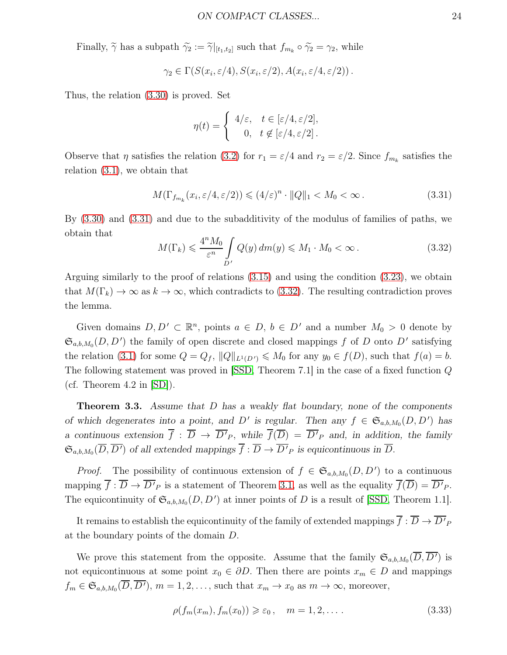Finally,  $\widetilde{\gamma}$  has a subpath  $\widetilde{\gamma}_2 := \widetilde{\gamma}|_{[t_1,t_2]}$  such that  $f_{m_k} \circ \widetilde{\gamma}_2 = \gamma_2$ , while

$$
\gamma_2 \in \Gamma(S(x_i, \varepsilon/4), S(x_i, \varepsilon/2), A(x_i, \varepsilon/4, \varepsilon/2))
$$

Thus, the relation [\(3.30\)](#page-22-3) is proved. Set

$$
\eta(t) = \begin{cases} 4/\varepsilon, & t \in [\varepsilon/4, \varepsilon/2], \\ 0, & t \notin [\varepsilon/4, \varepsilon/2]. \end{cases}
$$

Observe that  $\eta$  satisfies the relation [\(3.2\)](#page-12-2) for  $r_1 = \varepsilon/4$  and  $r_2 = \varepsilon/2$ . Since  $f_{m_k}$  satisfies the relation [\(3.1\)](#page-12-0), we obtain that

<span id="page-23-0"></span>
$$
M(\Gamma_{f_{m_k}}(x_i, \varepsilon/4, \varepsilon/2)) \leq (4/\varepsilon)^n \cdot ||Q||_1 < M_0 < \infty. \tag{3.31}
$$

By [\(3.30\)](#page-22-3) and [\(3.31\)](#page-23-0) and due to the subadditivity of the modulus of families of paths, we obtain that

<span id="page-23-1"></span>
$$
M(\Gamma_k) \leqslant \frac{4^n M_0}{\varepsilon^n} \int_{D'} Q(y) \, dm(y) \leqslant M_1 \cdot M_0 < \infty \,. \tag{3.32}
$$

Arguing similarly to the proof of relations [\(3.15\)](#page-18-2) and using the condition [\(3.23\)](#page-21-5), we obtain that  $M(\Gamma_k) \to \infty$  as  $k \to \infty$ , which contradicts to [\(3.32\)](#page-23-1). The resulting contradiction proves the lemma.

Given domains  $D, D' \subset \mathbb{R}^n$ , points  $a \in D$ ,  $b \in D'$  and a number  $M_0 > 0$  denote by  $\mathfrak{S}_{a,b,M_0}(D, D')$  the family of open discrete and closed mappings f of D onto D' satisfying the relation [\(3.1\)](#page-12-0) for some  $Q = Q_f$ ,  $||Q||_{L^1(D')} \leq M_0$  for any  $y_0 \in f(D)$ , such that  $f(a) = b$ . The following statement was proved in [\[SSD,](#page-30-6) Theorem 7.1] in the case of a fixed function Q (cf. Theorem  $4.2$  in  $[SD]$ ).

<span id="page-23-3"></span>Theorem 3.3. *Assume that* D *has a weakly flat boundary, none of the components of which degenerates into a point, and*  $D'$  *is regular. Then any*  $f \in \mathfrak{S}_{a,b,M_0}(D, D')$  *has a* continuous extension  $f: D \to D'_{P}$ , while  $f(D) = D'_{P}$  and, in addition, the family  $\mathfrak{S}_{a,b,M_0}(\overline{D}, \overline{D'})$  of all extended mappings  $\overline{f} : \overline{D} \to \overline{D'}_P$  is equicontinuous in  $\overline{D}$ .

*Proof.* The possibility of continuous extension of  $f \in \mathfrak{S}_{a,b,M_0}(D, D')$  to a continuous mapping  $f : \overline{D} \to \overline{D'}_P$  is a statement of Theorem [3.1,](#page-12-1) as well as the equality  $f(\overline{D}) = \overline{D'}_P$ . The equicontinuity of  $\mathfrak{S}_{a,b,M_0}(D, D')$  at inner points of D is a result of [\[SSD,](#page-30-6) Theorem 1.1].

It remains to establish the equicontinuity of the family of extended mappings  $f: \overline{D} \to \overline{D'}_F$ at the boundary points of the domain D.

We prove this statement from the opposite. Assume that the family  $\mathfrak{S}_{a,b,M_0}(\overline{D},\overline{D'})$  is not equicontinuous at some point  $x_0 \in \partial D$ . Then there are points  $x_m \in D$  and mappings  $f_m \in \mathfrak{S}_{a,b,M_0}(\overline{D}, \overline{D'}), m = 1,2,\ldots$ , such that  $x_m \to x_0$  as  $m \to \infty$ , moreover,

<span id="page-23-2"></span>
$$
\rho(f_m(x_m), f_m(x_0)) \ge \varepsilon_0, \quad m = 1, 2, \dots
$$
\n(3.33)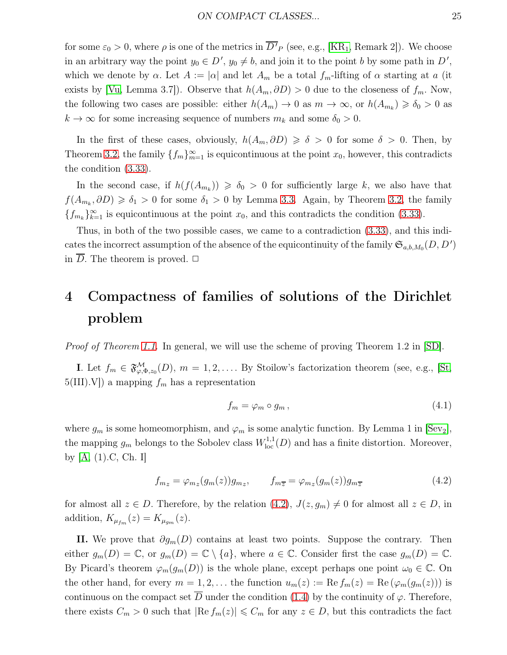for some  $\varepsilon_0 > 0$ , where  $\rho$  is one of the metrics in  $\overline{D'}_P$  (see, e.g., [\[KR](#page-28-0)<sub>1</sub>, Remark 2]). We choose in an arbitrary way the point  $y_0 \in D'$ ,  $y_0 \neq b$ , and join it to the point b by some path in  $D'$ , which we denote by  $\alpha$ . Let  $A := |\alpha|$  and let  $A_m$  be a total  $f_m$ -lifting of  $\alpha$  starting at a (it exists by [\[Vu,](#page-30-7) Lemma 3.7]). Observe that  $h(A_m, \partial D) > 0$  due to the closeness of  $f_m$ . Now, the following two cases are possible: either  $h(A_m) \to 0$  as  $m \to \infty$ , or  $h(A_{m_k}) \geq \delta_0 > 0$  as  $k \to \infty$  for some increasing sequence of numbers  $m_k$  and some  $\delta_0 > 0$ .

In the first of these cases, obviously,  $h(A_m, \partial D) \geq \delta > 0$  for some  $\delta > 0$ . Then, by Theorem [3.2,](#page-17-3) the family  $\{f_m\}_{m=1}^{\infty}$  is equicontinuous at the point  $x_0$ , however, this contradicts the condition [\(3.33\)](#page-23-2).

In the second case, if  $h(f(A_{m_k})) \geq \delta_0 > 0$  for sufficiently large k, we also have that  $f(A_{m_k}, \partial D) \geq \delta_1 > 0$  for some  $\delta_1 > 0$  by Lemma [3.3.](#page-20-1) Again, by Theorem [3.2,](#page-17-3) the family  ${f_{m_k}}_{k=1}^{\infty}$  is equicontinuous at the point  $x_0$ , and this contradicts the condition [\(3.33\)](#page-23-2).

Thus, in both of the two possible cases, we came to a contradiction [\(3.33\)](#page-23-2), and this indicates the incorrect assumption of the absence of the equicontinuity of the family  $\mathfrak{S}_{a,b,M_0}(D, D')$ in  $\overline{D}$ . The theorem is proved.  $\Box$ 

## 4 Compactness of families of solutions of the Dirichlet problem

Proof of Theorem [1.1.](#page-3-1) In general, we will use the scheme of proving Theorem 1.2 in [\[SD\]](#page-30-0).

**I.** Let  $f_m \in \mathfrak{F}^{\mathcal{M}}_{\varphi,\Phi,z_0}(D)$ ,  $m = 1,2,...$  By Stoilow's factorization theorem (see, e.g., [\[St,](#page-30-10)  $5(III).V$ ) a mapping  $f_m$  has a representation

<span id="page-24-1"></span>
$$
f_m = \varphi_m \circ g_m \,, \tag{4.1}
$$

where  $g_m$  is some homeomorphism, and  $\varphi_m$  is some analytic function. By Lemma 1 in [\[Sev](#page-30-11)<sub>2</sub>], the mapping  $g_m$  belongs to the Sobolev class  $W^{1,1}_{\text{loc}}(D)$  and has a finite distortion. Moreover, by [\[A,](#page-28-8) (1).C, Ch. I]

<span id="page-24-0"></span>
$$
f_{m_z} = \varphi_{m_z}(g_m(z))g_{m_z}, \qquad f_{m_{\overline{z}}} = \varphi_{m_z}(g_m(z))g_{m_{\overline{z}}} \tag{4.2}
$$

for almost all  $z \in D$ . Therefore, by the relation  $(4.2)$ ,  $J(z, g_m) \neq 0$  for almost all  $z \in D$ , in addition,  $K_{\mu_{fm}}(z) = K_{\mu_{gm}}(z)$ .

II. We prove that  $\partial g_m(D)$  contains at least two points. Suppose the contrary. Then either  $g_m(D) = \mathbb{C}$ , or  $g_m(D) = \mathbb{C} \setminus \{a\}$ , where  $a \in \mathbb{C}$ . Consider first the case  $g_m(D) = \mathbb{C}$ . By Picard's theorem  $\varphi_m(g_m(D))$  is the whole plane, except perhaps one point  $\omega_0 \in \mathbb{C}$ . On the other hand, for every  $m = 1, 2, \ldots$  the function  $u_m(z) := \text{Re } f_m(z) = \text{Re } (\varphi_m(g_m(z)))$  is continuous on the compact set  $\overline{D}$  under the condition [\(1.4\)](#page-2-2) by the continuity of  $\varphi$ . Therefore, there exists  $C_m > 0$  such that  $|\text{Re } f_m(z)| \leq C_m$  for any  $z \in D$ , but this contradicts the fact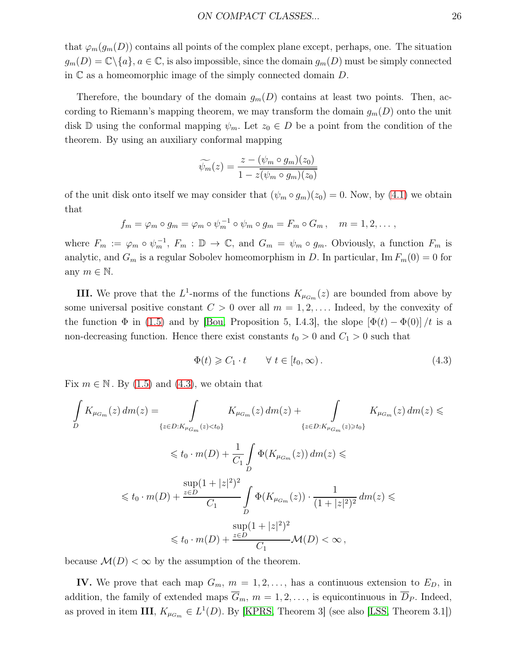that  $\varphi_m(g_m(D))$  contains all points of the complex plane except, perhaps, one. The situation  $g_m(D) = \mathbb{C} \setminus \{a\}, a \in \mathbb{C}$ , is also impossible, since the domain  $g_m(D)$  must be simply connected in  $\mathbb C$  as a homeomorphic image of the simply connected domain  $D$ .

Therefore, the boundary of the domain  $g_m(D)$  contains at least two points. Then, according to Riemann's mapping theorem, we may transform the domain  $g_m(D)$  onto the unit disk D using the conformal mapping  $\psi_m$ . Let  $z_0 \in D$  be a point from the condition of the theorem. By using an auxiliary conformal mapping

$$
\widetilde{\psi_m}(z) = \frac{z - (\psi_m \circ g_m)(z_0)}{1 - z(\psi_m \circ g_m)(z_0)}
$$

of the unit disk onto itself we may consider that  $(\psi_m \circ g_m)(z_0) = 0$ . Now, by [\(4.1\)](#page-24-1) we obtain that

$$
f_m = \varphi_m \circ g_m = \varphi_m \circ \psi_m^{-1} \circ \psi_m \circ g_m = F_m \circ G_m, \quad m = 1, 2, \dots,
$$

where  $F_m := \varphi_m \circ \psi_m^{-1}$ ,  $F_m : \mathbb{D} \to \mathbb{C}$ , and  $G_m = \psi_m \circ g_m$ . Obviously, a function  $F_m$  is analytic, and  $G_m$  is a regular Sobolev homeomorphism in D. In particular, Im  $F_m(0) = 0$  for any  $m \in \mathbb{N}$ .

**III.** We prove that the  $L^1$ -norms of the functions  $K_{\mu_{G_m}}(z)$  are bounded from above by some universal positive constant  $C > 0$  over all  $m = 1, 2, \ldots$  Indeed, by the convexity of the function  $\Phi$  in [\(1.5\)](#page-3-2) and by [\[Bou,](#page-28-9) Proposition 5, I.4.3], the slope  $[\Phi(t) - \Phi(0)]/t$  is a non-decreasing function. Hence there exist constants  $t_0 > 0$  and  $C_1 > 0$  such that

<span id="page-25-0"></span>
$$
\Phi(t) \geqslant C_1 \cdot t \qquad \forall \ t \in [t_0, \infty). \tag{4.3}
$$

Fix  $m \in \mathbb{N}$ . By [\(1.5\)](#page-3-2) and [\(4.3\)](#page-25-0), we obtain that

$$
\int_{D} K_{\mu_{G_m}}(z) dm(z) = \int_{\{z \in D: K_{\mu_{G_m}}(z) < t_0\}} K_{\mu_{G_m}}(z) dm(z) + \int_{\{z \in D: K_{\mu_{G_m}}(z) \geqslant t_0\}} K_{\mu_{G_m}}(z) dm(z) \leqslant
$$
\n
$$
\leqslant t_0 \cdot m(D) + \frac{1}{C_1} \int_{D} \Phi(K_{\mu_{G_m}}(z)) dm(z) \leqslant
$$
\n
$$
\int_{D} \sup(1 + |z|^2)^2 \int_{D} \Phi(K_{\mu_{G_m}}(z)) \cdot \frac{1}{(1 + |z|^2)^2} dm(z) \leqslant
$$
\n
$$
\int_{D} \sup(1 + |z|^2)^2 \int_{D} \Phi(K_{\mu_{G_m}}(z)) \cdot \frac{1}{(1 + |z|^2)^2} dm(z) \leqslant
$$
\n
$$
\int_{D} \sup(1 + |z|^2)^2 \int_{C_1} \mathcal{M}(D) < \infty,
$$

because  $\mathcal{M}(D) < \infty$  by the assumption of the theorem.

IV. We prove that each map  $G_m$ ,  $m = 1, 2, \ldots$ , has a continuous extension to  $E_D$ , in addition, the family of extended maps  $\overline{G}_m$ ,  $m = 1, 2, \ldots$ , is equicontinuous in  $\overline{D}_P$ . Indeed, as proved in item III,  $K_{\mu_{G_m}} \in L^1(D)$ . By [\[KPRS,](#page-28-10) Theorem 3] (see also [\[LSS,](#page-29-13) Theorem 3.1])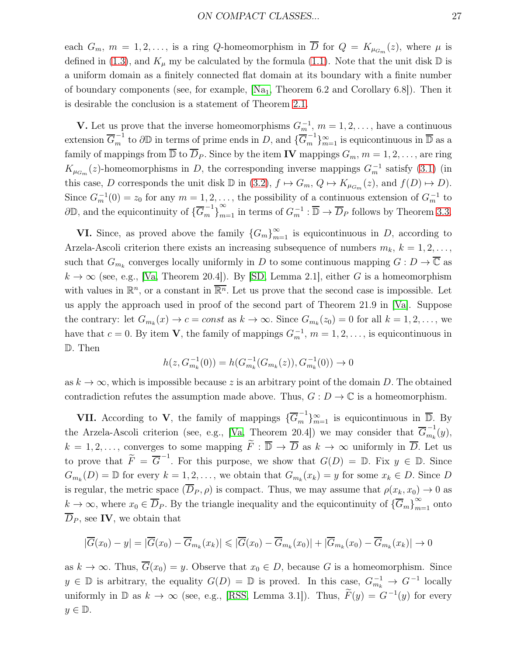each  $G_m$ ,  $m = 1, 2, \ldots$ , is a ring Q-homeomorphism in D for  $Q = K_{\mu_{G_m}}(z)$ , where  $\mu$  is defined in [\(1.3\)](#page-2-1), and  $K_{\mu}$  my be calculated by the formula [\(1.1\)](#page-1-0). Note that the unit disk  $\mathbb{D}$  is a uniform domain as a finitely connected flat domain at its boundary with a finite number of boundary components (see, for example,  $[Na_1, Theorem 6.2 and Corollary 6.8]$ ). Then it is desirable the conclusion is a statement of Theorem [2.1.](#page-7-2)

**V.** Let us prove that the inverse homeomorphisms  $G_m^{-1}$ ,  $m = 1, 2, \ldots$ , have a continuous extension  $\overline{G}_m^{-1}$  to  $\partial \mathbb{D}$  in terms of prime ends in D, and  $\{\overline{G}_m^{-1}$  $\binom{-1}{m}$  $\underset{m=1}{\infty}$  is equicontinuous in  $\overline{\mathbb{D}}$  as a family of mappings from  $\overline{\mathbb{D}}$  to  $\overline{D}_P$ . Since by the item **IV** mappings  $G_m$ ,  $m = 1, 2, \ldots$ , are ring  $K_{\mu_{G_m}}(z)$ -homeomorphisms in D, the corresponding inverse mappings  $G_m^{-1}$  satisfy [\(3.1\)](#page-12-0) (in this case, D corresponds the unit disk  $\mathbb D$  in [\(3.2\)](#page-12-2),  $f \mapsto G_m$ ,  $Q \mapsto K_{\mu_{G_m}}(z)$ , and  $f(D) \mapsto D$ . Since  $G_m^{-1}(0) = z_0$  for any  $m = 1, 2, \ldots$ , the possibility of a continuous extension of  $G_m^{-1}$  to  $\partial\mathbb{D}$ , and the equicontinuity of  $\{\overline{G}_m^{-1}\}$  $m \in Y$  $\sum_{m=1}^{\infty}$  in terms of  $G_m^{-1} : \overline{\mathbb{D}} \to \overline{D}_P$  follows by Theorem [3.3.](#page-23-3)

**VI.** Since, as proved above the family  ${G_m}_{m=1}^{\infty}$  is equicontinuous in D, according to Arzela-Ascoli criterion there exists an increasing subsequence of numbers  $m_k$ ,  $k = 1, 2, \ldots$ , such that  $G_{m_k}$  converges locally uniformly in D to some continuous mapping  $G: D \to \overline{\mathbb{C}}$  as  $k \to \infty$  (see, e.g., [\[Va,](#page-30-2) Theorem 20.4]). By [\[SD,](#page-30-0) Lemma 2.1], either G is a homeomorphism with values in  $\mathbb{R}^n$ , or a constant in  $\overline{\mathbb{R}^n}$ . Let us prove that the second case is impossible. Let us apply the approach used in proof of the second part of Theorem 21.9 in [\[Va\]](#page-30-2). Suppose the contrary: let  $G_{m_k}(x) \to c = const$  as  $k \to \infty$ . Since  $G_{m_k}(z_0) = 0$  for all  $k = 1, 2, ...,$  we have that  $c = 0$ . By item **V**, the family of mappings  $G_m^{-1}$ ,  $m = 1, 2, \ldots$ , is equicontinuous in D. Then

$$
h(z, G_{m_k}^{-1}(0)) = h(G_{m_k}^{-1}(G_{m_k}(z)), G_{m_k}^{-1}(0)) \to 0
$$

as  $k \to \infty$ , which is impossible because z is an arbitrary point of the domain D. The obtained contradiction refutes the assumption made above. Thus,  $G: D \to \mathbb{C}$  is a homeomorphism.

**VII.** According to **V**, the family of mappings  $\{\overline{G}_m^{-1}\}$  $\left\{\begin{matrix} -1 \\ m \end{matrix}\right\}_{m=1}^{\infty}$  is equicontinuous in  $\overline{\mathbb{D}}$ . By the Arzela-Ascoli criterion (see, e.g., [\[Va,](#page-30-2) Theorem 20.4]) we may consider that  $\overline{G}_{m_i}^{-1}$  $\frac{1}{m_k}(y)$ ,  $k = 1, 2, \ldots$ , converges to some mapping  $\widetilde{F}: \overline{\mathbb{D}} \to \overline{D}$  as  $k \to \infty$  uniformly in  $\overline{D}$ . Let us to prove that  $\widetilde{F} = \overline{G}^{-1}$ . For this purpose, we show that  $G(D) = \mathbb{D}$ . Fix  $y \in \mathbb{D}$ . Since  $G_{m_k}(D) = \mathbb{D}$  for every  $k = 1, 2, \ldots$ , we obtain that  $G_{m_k}(x_k) = y$  for some  $x_k \in D$ . Since D is regular, the metric space  $(\overline{D}_P, \rho)$  is compact. Thus, we may assume that  $\rho(x_k, x_0) \to 0$  as  $k \to \infty$ , where  $x_0 \in \overline{D}_P$ . By the triangle inequality and the equicontinuity of  $\{\overline{G}_m\}_{m=1}^{\infty}$  onto  $\overline{D}_P$ , see IV, we obtain that

$$
|\overline{G}(x_0) - y| = |\overline{G}(x_0) - \overline{G}_{m_k}(x_k)| \leq |\overline{G}(x_0) - \overline{G}_{m_k}(x_0)| + |\overline{G}_{m_k}(x_0) - \overline{G}_{m_k}(x_k)| \to 0
$$

as  $k \to \infty$ . Thus,  $\overline{G}(x_0) = y$ . Observe that  $x_0 \in D$ , because G is a homeomorphism. Since  $y \in \mathbb{D}$  is arbitrary, the equality  $G(D) = \mathbb{D}$  is proved. In this case,  $G_{m_k}^{-1} \to G^{-1}$  locally uniformly in  $\mathbb{D}$  as  $k \to \infty$  (see, e.g., [\[RSS,](#page-29-15) Lemma 3.1]). Thus,  $\widetilde{F}(y) = G^{-1}(y)$  for every  $y \in \mathbb{D}$ .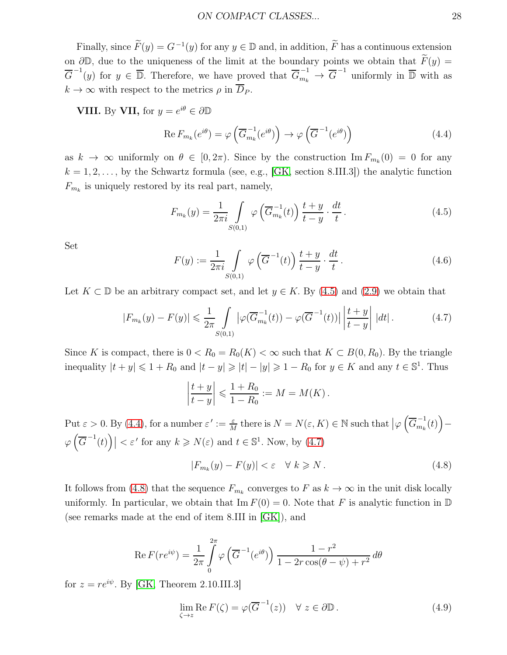Finally, since  $\widetilde{F}(y) = G^{-1}(y)$  for any  $y \in \mathbb{D}$  and, in addition,  $\widetilde{F}$  has a continuous extension on  $\partial\mathbb{D}$ , due to the uniqueness of the limit at the boundary points we obtain that  $\widetilde{F}(y) =$  $\overline{G}^{-1}(y)$  for  $y \in \overline{\mathbb{D}}$ . Therefore, we have proved that  $\overline{G}_{m_k}^{-1} \to \overline{G}^{-1}$  uniformly in  $\overline{\mathbb{D}}$  with as  $k \to \infty$  with respect to the metrics  $\rho$  in  $\overline{D}_P$ .

**VIII.** By **VII**, for  $y = e^{i\theta} \in \partial \mathbb{D}$ 

<span id="page-27-1"></span>
$$
\operatorname{Re} F_{m_k}(e^{i\theta}) = \varphi\left(\overline{G}_{m_k}^{-1}(e^{i\theta})\right) \to \varphi\left(\overline{G}^{-1}(e^{i\theta})\right)
$$
(4.4)

as  $k \to \infty$  uniformly on  $\theta \in [0, 2\pi)$ . Since by the construction  $\text{Im } F_{m_k}(0) = 0$  for any  $k = 1, 2, \ldots$ , by the Schwartz formula (see, e.g., [\[GK,](#page-28-11) section 8.III.3]) the analytic function  $F_{m_k}$  is uniquely restored by its real part, namely,

<span id="page-27-0"></span>
$$
F_{m_k}(y) = \frac{1}{2\pi i} \int_{S(0,1)} \varphi\left(\overline{G}_{m_k}^{-1}(t)\right) \frac{t+y}{t-y} \cdot \frac{dt}{t}.
$$
 (4.5)

Set

$$
F(y) := \frac{1}{2\pi i} \int\limits_{S(0,1)} \varphi\left(\overline{G}^{-1}(t)\right) \frac{t+y}{t-y} \cdot \frac{dt}{t}.
$$
 (4.6)

Let  $K \subset \mathbb{D}$  be an arbitrary compact set, and let  $y \in K$ . By [\(4.5\)](#page-27-0) and [\(2.9\)](#page-5-0) we obtain that

<span id="page-27-2"></span>
$$
|F_{m_k}(y) - F(y)| \leq \frac{1}{2\pi} \int\limits_{S(0,1)} |\varphi(\overline{G}_{m_k}^{-1}(t)) - \varphi(\overline{G}^{-1}(t))| \left| \frac{t+y}{t-y} \right| |dt|.
$$
 (4.7)

Since K is compact, there is  $0 < R_0 = R_0(K) < \infty$  such that  $K \subset B(0, R_0)$ . By the triangle inequality  $|t + y| \leq 1 + R_0$  and  $|t - y| \geq |t| - |y| \geq 1 - R_0$  for  $y \in K$  and any  $t \in \mathbb{S}^1$ . Thus

$$
\left|\frac{t+y}{t-y}\right| \leqslant \frac{1+R_0}{1-R_0}:=M=M(K)\,.
$$

Put  $\varepsilon > 0$ . By [\(4.4\)](#page-27-1), for a number  $\varepsilon' := \frac{\varepsilon}{M}$  there is  $N = N(\varepsilon, K) \in \mathbb{N}$  such that  $\big|\varphi\left(\overline{G}_{m_k}^{-1}\right)\big|$  $\binom{-1}{m_k}(t)$ −  $\varphi\left(\overline{G}^{-1}(t)\right)$  |  $\lt \varepsilon'$  for any  $k \geq N(\varepsilon)$  and  $t \in \mathbb{S}^1$ . Now, by [\(4.7\)](#page-27-2)

<span id="page-27-3"></span>
$$
|F_{m_k}(y) - F(y)| < \varepsilon \quad \forall \ k \ge N. \tag{4.8}
$$

It follows from [\(4.8\)](#page-27-3) that the sequence  $F_{m_k}$  converges to F as  $k \to \infty$  in the unit disk locally uniformly. In particular, we obtain that  $\text{Im } F(0) = 0$ . Note that F is analytic function in D (see remarks made at the end of item 8.III in [\[GK\]](#page-28-11)), and

$$
\operatorname{Re} F(re^{i\psi}) = \frac{1}{2\pi} \int_{0}^{2\pi} \varphi\left(\overline{G}^{-1}(e^{i\theta})\right) \frac{1 - r^2}{1 - 2r\cos(\theta - \psi) + r^2} d\theta
$$

for  $z = re^{i\psi}$ . By [\[GK,](#page-28-11) Theorem 2.10.III.3]

<span id="page-27-4"></span>
$$
\lim_{\zeta \to z} \operatorname{Re} F(\zeta) = \varphi(\overline{G}^{-1}(z)) \quad \forall \ z \in \partial \mathbb{D} \,. \tag{4.9}
$$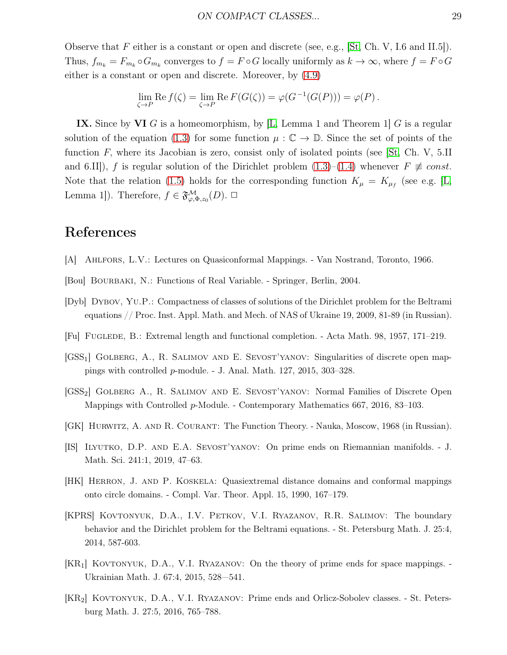Observe that  $F$  either is a constant or open and discrete (see, e.g., [\[St,](#page-30-10) Ch. V, I.6 and II.5]). Thus,  $f_{m_k} = F_{m_k} \circ G_{m_k}$  converges to  $f = F \circ G$  locally uniformly as  $k \to \infty$ , where  $f = F \circ G$ either is a constant or open and discrete. Moreover, by [\(4.9\)](#page-27-4)

$$
\lim_{\zeta \to P} \operatorname{Re} f(\zeta) = \lim_{\zeta \to P} \operatorname{Re} F(G(\zeta)) = \varphi(G^{-1}(G(P))) = \varphi(P).
$$

IX. Since by VI G is a homeomorphism, by [\[L,](#page-29-16) Lemma 1 and Theorem 1] G is a regular solution of the equation [\(1.3\)](#page-2-1) for some function  $\mu : \mathbb{C} \to \mathbb{D}$ . Since the set of points of the function  $F$ , where its Jacobian is zero, consist only of isolated points (see  $\vert$ St, Ch. V, 5.II and 6.II]), f is regular solution of the Dirichlet problem [\(1.3\)](#page-2-1)–[\(1.4\)](#page-2-2) whenever  $F \not\equiv const.$ Note that the relation [\(1.5\)](#page-3-2) holds for the corresponding function  $K_{\mu} = K_{\mu}$  (see e.g. [\[L,](#page-29-16) Lemma 1]). Therefore,  $f \in \mathfrak{F}^{\mathcal{M}}_{\varphi,\Phi,z_0}(D)$ .  $\Box$ 

### References

- <span id="page-28-8"></span>[A] Ahlfors, L.V.: Lectures on Quasiconformal Mappings. - Van Nostrand, Toronto, 1966.
- <span id="page-28-9"></span>[Bou] Bourbaki, N.: Functions of Real Variable. - Springer, Berlin, 2004.
- <span id="page-28-3"></span>[Dyb] Dybov, Yu.P.: Compactness of classes of solutions of the Dirichlet problem for the Beltrami equations // Proc. Inst. Appl. Math. and Mech. of NAS of Ukraine 19, 2009, 81-89 (in Russian).
- <span id="page-28-6"></span>[Fu] Fuglede, B.: Extremal length and functional completion. - Acta Math. 98, 1957, 171–219.
- <span id="page-28-5"></span>[GSS<sub>1</sub>] GOLBERG, A., R. SALIMOV AND E. SEVOST'YANOV: Singularities of discrete open mappings with controlled p-module. - J. Anal. Math. 127, 2015, 303–328.
- <span id="page-28-4"></span>[GSS2] Golberg A., R. Salimov and E. Sevost'yanov: Normal Families of Discrete Open Mappings with Controlled p-Module. - Contemporary Mathematics 667, 2016, 83–103.
- <span id="page-28-11"></span>[GK] Hurwitz, A. and R. Courant: The Function Theory. - Nauka, Moscow, 1968 (in Russian).
- <span id="page-28-2"></span>[IS] Ilyutko, D.P. and E.A. Sevost'yanov: On prime ends on Riemannian manifolds. - J. Math. Sci. 241:1, 2019, 47–63.
- <span id="page-28-7"></span>[HK] Herron, J. and P. Koskela: Quasiextremal distance domains and conformal mappings onto circle domains. - Compl. Var. Theor. Appl. 15, 1990, 167–179.
- <span id="page-28-10"></span>[KPRS] Kovtonyuk, D.A., I.V. Petkov, V.I. Ryazanov, R.R. Salimov: The boundary behavior and the Dirichlet problem for the Beltrami equations. - St. Petersburg Math. J. 25:4, 2014, 587-603.
- <span id="page-28-0"></span>[KR<sub>1</sub>] KOVTONYUK, D.A., V.I. RYAZANOV: On the theory of prime ends for space mappings. -Ukrainian Math. J. 67:4, 2015, 528—541.
- <span id="page-28-1"></span>[KR2] Kovtonyuk, D.A., V.I. Ryazanov: Prime ends and Orlicz-Sobolev classes. - St. Petersburg Math. J. 27:5, 2016, 765–788.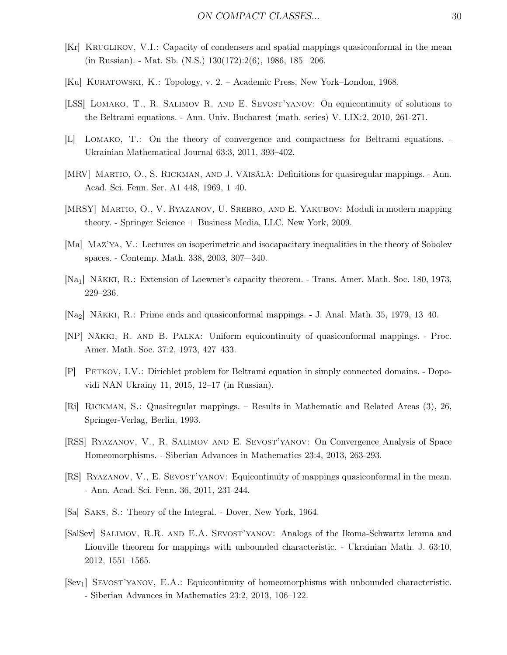- <span id="page-29-9"></span>[Kr] KRUGLIKOV, V.I.: Capacity of condensers and spatial mappings quasiconformal in the mean (in Russian). - Mat. Sb. (N.S.) 130(172):2(6), 1986, 185—206.
- <span id="page-29-11"></span>[Ku] Kuratowski, K.: Topology, v. 2. – Academic Press, New York–London, 1968.
- <span id="page-29-13"></span>[LSS] Lomako, T., R. Salimov R. and E. Sevost'yanov: On equicontinuity of solutions to the Beltrami equations. - Ann. Univ. Bucharest (math. series) V. LIX:2, 2010, 261-271.
- <span id="page-29-16"></span>[L] Lomako, T.: On the theory of convergence and compactness for Beltrami equations. - Ukrainian Mathematical Journal 63:3, 2011, 393–402.
- <span id="page-29-10"></span>[MRV] MARTIO, O., S. RICKMAN, AND J. VÄISÄLÄ: Definitions for quasiregular mappings. - Ann. Acad. Sci. Fenn. Ser. A1 448, 1969, 1–40.
- <span id="page-29-3"></span>[MRSY] Martio, O., V. Ryazanov, U. Srebro, and E. Yakubov: Moduli in modern mapping theory. - Springer Science + Business Media, LLC, New York, 2009.
- <span id="page-29-7"></span>[Ma] Maz'ya, V.: Lectures on isoperimetric and isocapacitary inequalities in the theory of Sobolev spaces. - Contemp. Math. 338, 2003, 307—340.
- <span id="page-29-14"></span>[Na<sub>1</sub>] NÄKKI, R.: Extension of Loewner's capacity theorem. - Trans. Amer. Math. Soc. 180, 1973, 229–236.
- <span id="page-29-1"></span>[Na<sub>2</sub>] N $\ddot{A}$ KKI, R.: Prime ends and quasiconformal mappings. - J. Anal. Math. 35, 1979, 13–40.
- <span id="page-29-4"></span>[NP] NÄKKI, R. AND B. PALKA: Uniform equicontinuity of quasiconformal mappings. - Proc. Amer. Math. Soc. 37:2, 1973, 427–433.
- <span id="page-29-0"></span>[P] Petkov, I.V.: Dirichlet problem for Beltrami equation in simply connected domains. - Dopovidi NAN Ukrainy 11, 2015, 12–17 (in Russian).
- <span id="page-29-6"></span>[Ri] Rickman, S.: Quasiregular mappings. – Results in Mathematic and Related Areas (3), 26, Springer-Verlag, Berlin, 1993.
- <span id="page-29-15"></span>[RSS] Ryazanov, V., R. Salimov and E. Sevost'yanov: On Convergence Analysis of Space Homeomorphisms. - Siberian Advances in Mathematics 23:4, 2013, 263-293.
- <span id="page-29-5"></span>[RS] Ryazanov, V., E. Sevost'yanov: Equicontinuity of mappings quasiconformal in the mean. - Ann. Acad. Sci. Fenn. 36, 2011, 231-244.
- <span id="page-29-12"></span>[Sa] Saks, S.: Theory of the Integral. - Dover, New York, 1964.
- <span id="page-29-8"></span>[SalSev] Salimov, R.R. and E.A. Sevost'yanov: Analogs of the Ikoma-Schwartz lemma and Liouville theorem for mappings with unbounded characteristic. - Ukrainian Math. J. 63:10, 2012, 1551–1565.
- <span id="page-29-2"></span>[Sev1] Sevost'yanov, E.A.: Equicontinuity of homeomorphisms with unbounded characteristic. - Siberian Advances in Mathematics 23:2, 2013, 106–122.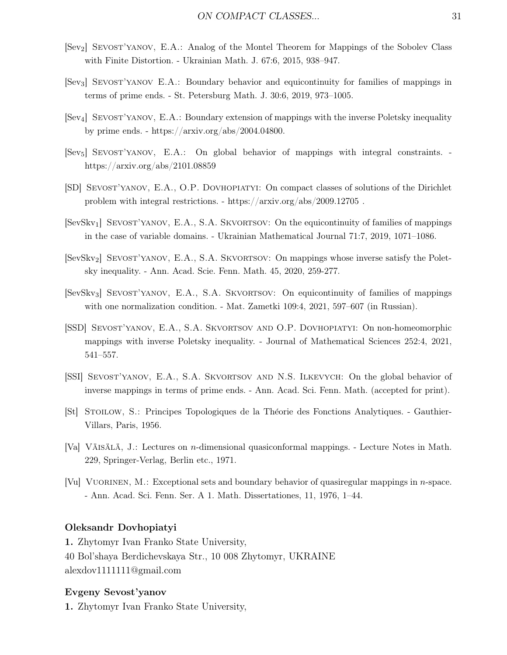- <span id="page-30-11"></span>[Sev2] Sevost'yanov, E.A.: Analog of the Montel Theorem for Mappings of the Sobolev Class with Finite Distortion. - Ukrainian Math. J. 67:6, 2015, 938–947.
- [Sev3] Sevost'yanov E.A.: Boundary behavior and equicontinuity for families of mappings in terms of prime ends. - St. Petersburg Math. J. 30:6, 2019, 973–1005.
- <span id="page-30-8"></span>[Sev4] Sevost'yanov, E.A.: Boundary extension of mappings with the inverse Poletsky inequality by prime ends. - https://arxiv.org/abs/2004.04800.
- <span id="page-30-5"></span>[Sev<sub>5</sub>] SEVOST'YANOV, E.A.: On global behavior of mappings with integral constraints. https://arxiv.org/abs/2101.08859
- <span id="page-30-0"></span>[SD] Sevost'yanov, E.A., O.P. Dovhopiatyi: On compact classes of solutions of the Dirichlet problem with integral restrictions. - https://arxiv.org/abs/2009.12705 .
- <span id="page-30-3"></span>[SevSkv<sub>1</sub>] SEVOST'YANOV, E.A., S.A. SKVORTSOV: On the equicontinuity of families of mappings in the case of variable domains. - Ukrainian Mathematical Journal 71:7, 2019, 1071–1086.
- <span id="page-30-9"></span>[SevSkv<sub>2</sub>] SEVOST'YANOV, E.A., S.A. SKVORTSOV: On mappings whose inverse satisfy the Poletsky inequality. - Ann. Acad. Scie. Fenn. Math. 45, 2020, 259-277.
- <span id="page-30-4"></span>[SevSkv3] Sevost'yanov, E.A., S.A. Skvortsov: On equicontinuity of families of mappings with one normalization condition. - Mat. Zametki 109:4, 2021, 597–607 (in Russian).
- <span id="page-30-6"></span>[SSD] Sevost'yanov, E.A., S.A. Skvortsov and O.P. Dovhopiatyi: On non-homeomorphic mappings with inverse Poletsky inequality. - Journal of Mathematical Sciences 252:4, 2021, 541–557.
- <span id="page-30-1"></span>[SSI] Sevost'yanov, E.A., S.A. Skvortsov and N.S. Ilkevych: On the global behavior of inverse mappings in terms of prime ends. - Ann. Acad. Sci. Fenn. Math. (accepted for print).
- <span id="page-30-10"></span>[St] Stoilow, S.: Principes Topologiques de la Th´eorie des Fonctions Analytiques. - Gauthier-Villars, Paris, 1956.
- <span id="page-30-2"></span>[Va] VÄISÄLÄ, J.: Lectures on *n*-dimensional quasiconformal mappings. - Lecture Notes in Math. 229, Springer-Verlag, Berlin etc., 1971.
- <span id="page-30-7"></span>[Vu] VUORINEN, M.: Exceptional sets and boundary behavior of quasiregular mappings in *n*-space. - Ann. Acad. Sci. Fenn. Ser. A 1. Math. Dissertationes, 11, 1976, 1–44.

#### Oleksandr Dovhopiatyi

1. Zhytomyr Ivan Franko State University, 40 Bol'shaya Berdichevskaya Str., 10 008 Zhytomyr, UKRAINE alexdov1111111@gmail.com

#### Evgeny Sevost'yanov

1. Zhytomyr Ivan Franko State University,